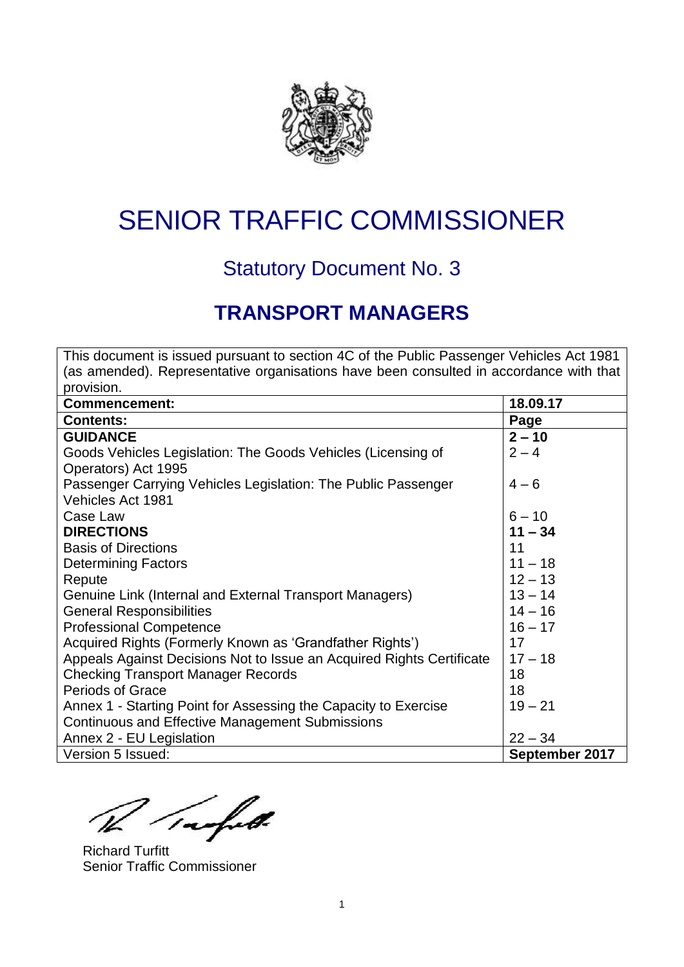

# SENIOR TRAFFIC COMMISSIONER

## Statutory Document No. 3

## **TRANSPORT MANAGERS**

This document is issued pursuant to section 4C of the Public Passenger Vehicles Act 1981 (as amended). Representative organisations have been consulted in accordance with that provision. **Commencement: 18.09.17 Contents: Page GUIDANCE** Goods Vehicles Legislation: The Goods Vehicles (Licensing of Operators) Act 1995 Passenger Carrying Vehicles Legislation: The Public Passenger Vehicles Act 1981 Case Law **DIRECTIONS** Basis of Directions Determining Factors Repute Genuine Link (Internal and External Transport Managers) General Responsibilities Professional Competence Acquired Rights (Formerly Known as 'Grandfather Rights') Appeals Against Decisions Not to Issue an Acquired Rights Certificate Checking Transport Manager Records Periods of Grace Annex 1 - Starting Point for Assessing the Capacity to Exercise Continuous and Effective Management Submissions Annex 2 - EU Legislation  $2 - 10$  $2 - 4$  $4 - 6$  $6 - 10$ **11 – 34** 11  $11 - 18$  $12 - 13$  $13 - 14$  $14 - 16$  $16 - 17$ 17  $17 - 18$ 18 18  $19 - 21$  $22 - 34$ Version 5 Issued: **September 2017**

rafet.

Richard Turfitt Senior Traffic Commissioner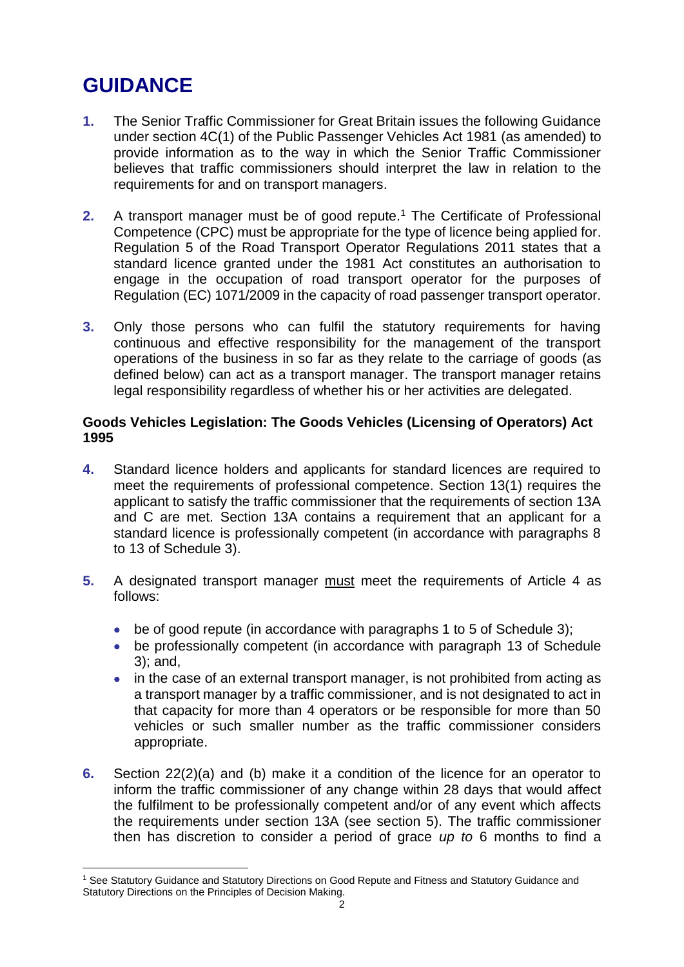## **GUIDANCE**

- **1.** The Senior Traffic Commissioner for Great Britain issues the following Guidance under section 4C(1) of the Public Passenger Vehicles Act 1981 (as amended) to provide information as to the way in which the Senior Traffic Commissioner believes that traffic commissioners should interpret the law in relation to the requirements for and on transport managers.
- **2.** A transport manager must be of good repute.<sup>1</sup> The Certificate of Professional Competence (CPC) must be appropriate for the type of licence being applied for. Regulation 5 of the Road Transport Operator Regulations 2011 states that a standard licence granted under the 1981 Act constitutes an authorisation to engage in the occupation of road transport operator for the purposes of Regulation (EC) 1071/2009 in the capacity of road passenger transport operator.
- **3.** Only those persons who can fulfil the statutory requirements for having continuous and effective responsibility for the management of the transport operations of the business in so far as they relate to the carriage of goods (as defined below) can act as a transport manager. The transport manager retains legal responsibility regardless of whether his or her activities are delegated.

## **Goods Vehicles Legislation: The Goods Vehicles (Licensing of Operators) Act 1995**

- **4.** Standard licence holders and applicants for standard licences are required to meet the requirements of professional competence. Section 13(1) requires the applicant to satisfy the traffic commissioner that the requirements of section 13A and C are met. Section 13A contains a requirement that an applicant for a standard licence is professionally competent (in accordance with paragraphs 8 to 13 of Schedule 3).
- **5.** A designated transport manager must meet the requirements of Article 4 as follows:
	- be of good repute (in accordance with paragraphs 1 to 5 of Schedule 3);
	- be professionally competent (in accordance with paragraph 13 of Schedule 3); and,
	- in the case of an external transport manager, is not prohibited from acting as a transport manager by a traffic commissioner, and is not designated to act in that capacity for more than 4 operators or be responsible for more than 50 vehicles or such smaller number as the traffic commissioner considers appropriate.
- **6.** Section 22(2)(a) and (b) make it a condition of the licence for an operator to inform the traffic commissioner of any change within 28 days that would affect the fulfilment to be professionally competent and/or of any event which affects the requirements under section 13A (see section 5). The traffic commissioner then has discretion to consider a period of grace *up to* 6 months to find a

<sup>1</sup> <sup>1</sup> See Statutory Guidance and Statutory Directions on Good Repute and Fitness and Statutory Guidance and Statutory Directions on the Principles of Decision Making.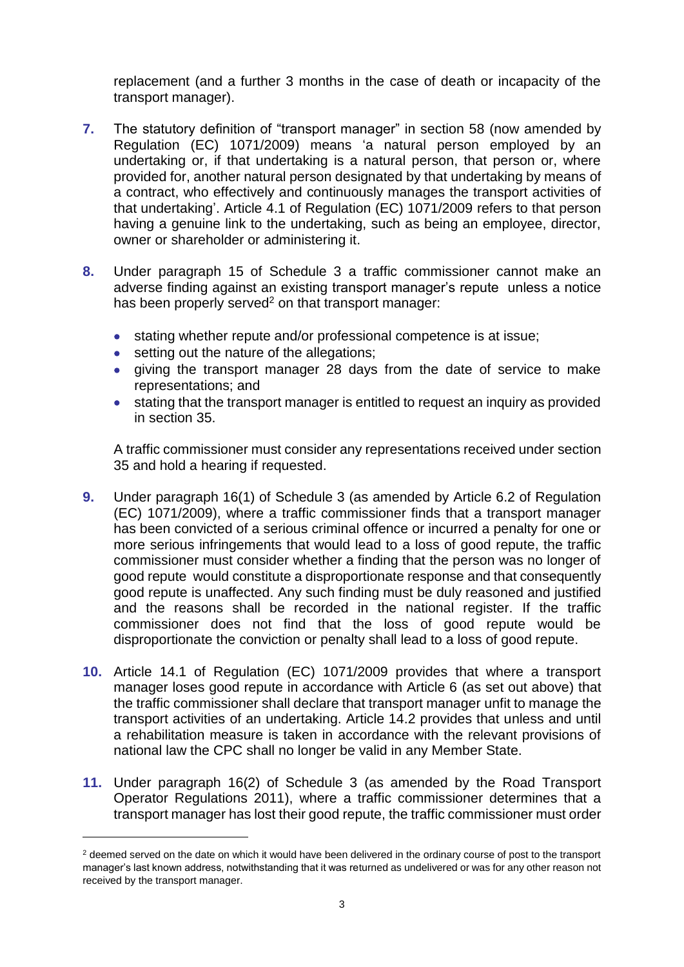replacement (and a further 3 months in the case of death or incapacity of the transport manager).

- **7.** The statutory definition of "transport manager" in section 58 (now amended by Regulation (EC) 1071/2009) means 'a natural person employed by an undertaking or, if that undertaking is a natural person, that person or, where provided for, another natural person designated by that undertaking by means of a contract, who effectively and continuously manages the transport activities of that undertaking'. Article 4.1 of Regulation (EC) 1071/2009 refers to that person having a genuine link to the undertaking, such as being an employee, director, owner or shareholder or administering it.
- **8.** Under paragraph 15 of Schedule 3 a traffic commissioner cannot make an adverse finding against an existing transport manager's repute unless a notice has been properly served<sup>2</sup> on that transport manager:
	- stating whether repute and/or professional competence is at issue;
	- setting out the nature of the allegations;

1

- giving the transport manager 28 days from the date of service to make representations; and
- stating that the transport manager is entitled to request an inquiry as provided in section 35.

A traffic commissioner must consider any representations received under section 35 and hold a hearing if requested.

- **9.** Under paragraph 16(1) of Schedule 3 (as amended by Article 6.2 of Regulation (EC) 1071/2009), where a traffic commissioner finds that a transport manager has been convicted of a serious criminal offence or incurred a penalty for one or more serious infringements that would lead to a loss of good repute, the traffic commissioner must consider whether a finding that the person was no longer of good repute would constitute a disproportionate response and that consequently good repute is unaffected. Any such finding must be duly reasoned and justified and the reasons shall be recorded in the national register. If the traffic commissioner does not find that the loss of good repute would be disproportionate the conviction or penalty shall lead to a loss of good repute.
- **10.** Article 14.1 of Regulation (EC) 1071/2009 provides that where a transport manager loses good repute in accordance with Article 6 (as set out above) that the traffic commissioner shall declare that transport manager unfit to manage the transport activities of an undertaking. Article 14.2 provides that unless and until a rehabilitation measure is taken in accordance with the relevant provisions of national law the CPC shall no longer be valid in any Member State.
- **11.** Under paragraph 16(2) of Schedule 3 (as amended by the Road Transport Operator Regulations 2011), where a traffic commissioner determines that a transport manager has lost their good repute, the traffic commissioner must order

<sup>&</sup>lt;sup>2</sup> deemed served on the date on which it would have been delivered in the ordinary course of post to the transport manager's last known address, notwithstanding that it was returned as undelivered or was for any other reason not received by the transport manager.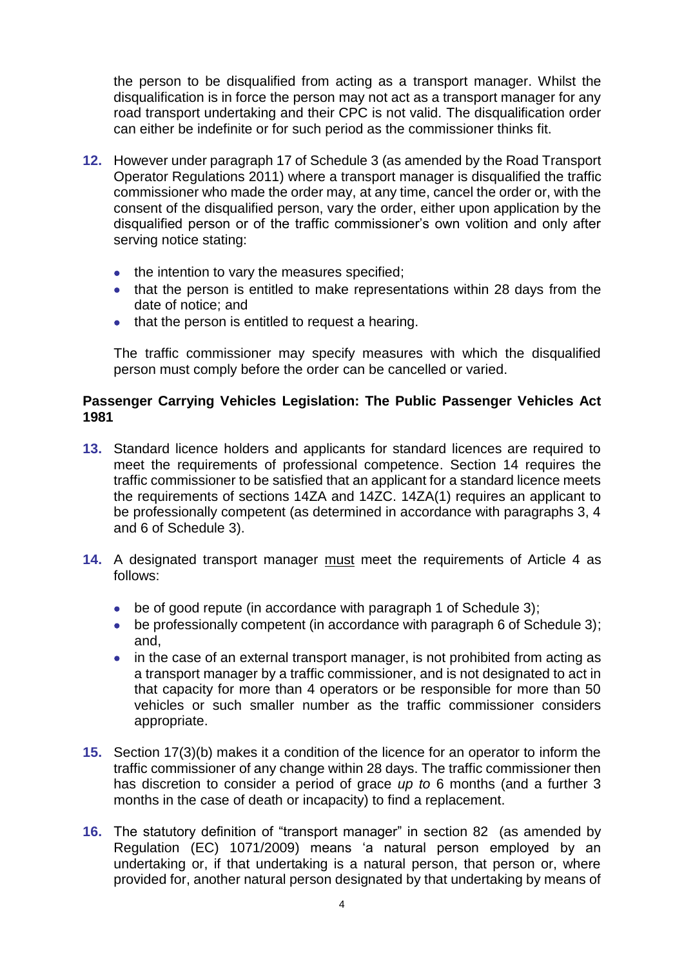the person to be disqualified from acting as a transport manager. Whilst the disqualification is in force the person may not act as a transport manager for any road transport undertaking and their CPC is not valid. The disqualification order can either be indefinite or for such period as the commissioner thinks fit.

- **12.** However under paragraph 17 of Schedule 3 (as amended by the Road Transport Operator Regulations 2011) where a transport manager is disqualified the traffic commissioner who made the order may, at any time, cancel the order or, with the consent of the disqualified person, vary the order, either upon application by the disqualified person or of the traffic commissioner's own volition and only after serving notice stating:
	- the intention to vary the measures specified;
	- that the person is entitled to make representations within 28 days from the date of notice; and
	- that the person is entitled to request a hearing.

The traffic commissioner may specify measures with which the disqualified person must comply before the order can be cancelled or varied.

## **Passenger Carrying Vehicles Legislation: The Public Passenger Vehicles Act 1981**

- **13.** Standard licence holders and applicants for standard licences are required to meet the requirements of professional competence. Section 14 requires the traffic commissioner to be satisfied that an applicant for a standard licence meets the requirements of sections 14ZA and 14ZC. 14ZA(1) requires an applicant to be professionally competent (as determined in accordance with paragraphs 3, 4 and 6 of Schedule 3).
- **14.** A designated transport manager must meet the requirements of Article 4 as follows:
	- be of good repute (in accordance with paragraph 1 of Schedule 3);
	- be professionally competent (in accordance with paragraph 6 of Schedule 3); and,
	- in the case of an external transport manager, is not prohibited from acting as a transport manager by a traffic commissioner, and is not designated to act in that capacity for more than 4 operators or be responsible for more than 50 vehicles or such smaller number as the traffic commissioner considers appropriate.
- **15.** Section 17(3)(b) makes it a condition of the licence for an operator to inform the traffic commissioner of any change within 28 days. The traffic commissioner then has discretion to consider a period of grace *up to* 6 months (and a further 3 months in the case of death or incapacity) to find a replacement.
- **16.** The statutory definition of "transport manager" in section 82 (as amended by Regulation (EC) 1071/2009) means 'a natural person employed by an undertaking or, if that undertaking is a natural person, that person or, where provided for, another natural person designated by that undertaking by means of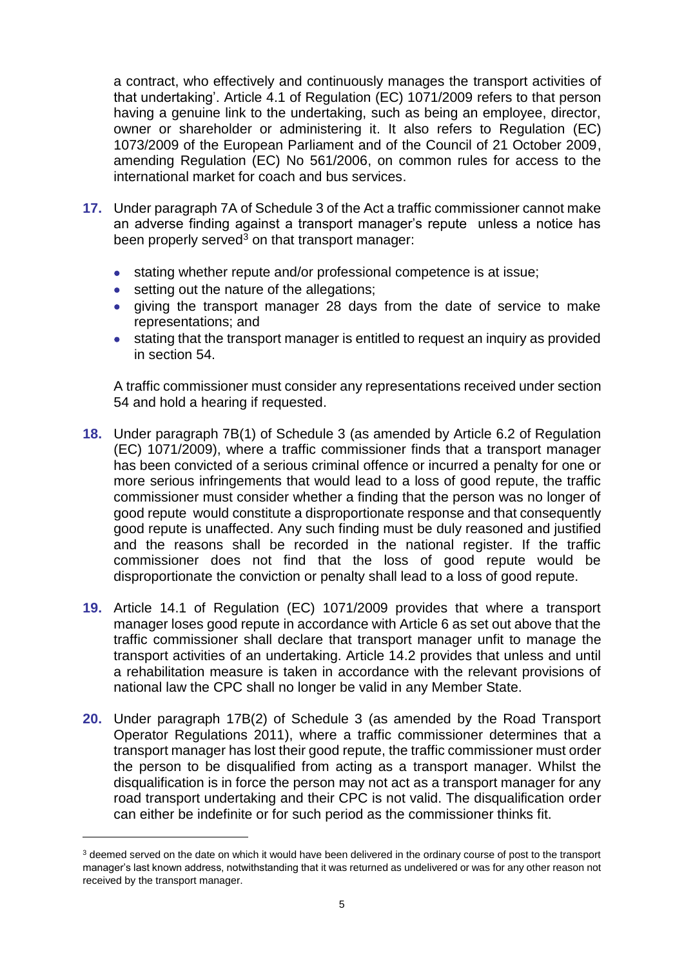a contract, who effectively and continuously manages the transport activities of that undertaking'. Article 4.1 of Regulation (EC) 1071/2009 refers to that person having a genuine link to the undertaking, such as being an employee, director, owner or shareholder or administering it. It also refers to Regulation (EC) 1073/2009 of the European Parliament and of the Council of 21 October 2009, amending Regulation (EC) No 561/2006, on common rules for access to the international market for coach and bus services.

- **17.** Under paragraph 7A of Schedule 3 of the Act a traffic commissioner cannot make an adverse finding against a transport manager's repute unless a notice has been properly served $3$  on that transport manager:
	- stating whether repute and/or professional competence is at issue;
	- **•** setting out the nature of the allegations;
	- giving the transport manager 28 days from the date of service to make representations; and
	- stating that the transport manager is entitled to request an inquiry as provided in section 54.

A traffic commissioner must consider any representations received under section 54 and hold a hearing if requested.

- **18.** Under paragraph 7B(1) of Schedule 3 (as amended by Article 6.2 of Regulation (EC) 1071/2009), where a traffic commissioner finds that a transport manager has been convicted of a serious criminal offence or incurred a penalty for one or more serious infringements that would lead to a loss of good repute, the traffic commissioner must consider whether a finding that the person was no longer of good repute would constitute a disproportionate response and that consequently good repute is unaffected. Any such finding must be duly reasoned and justified and the reasons shall be recorded in the national register. If the traffic commissioner does not find that the loss of good repute would be disproportionate the conviction or penalty shall lead to a loss of good repute.
- **19.** Article 14.1 of Regulation (EC) 1071/2009 provides that where a transport manager loses good repute in accordance with Article 6 as set out above that the traffic commissioner shall declare that transport manager unfit to manage the transport activities of an undertaking. Article 14.2 provides that unless and until a rehabilitation measure is taken in accordance with the relevant provisions of national law the CPC shall no longer be valid in any Member State.
- **20.** Under paragraph 17B(2) of Schedule 3 (as amended by the Road Transport Operator Regulations 2011), where a traffic commissioner determines that a transport manager has lost their good repute, the traffic commissioner must order the person to be disqualified from acting as a transport manager. Whilst the disqualification is in force the person may not act as a transport manager for any road transport undertaking and their CPC is not valid. The disqualification order can either be indefinite or for such period as the commissioner thinks fit.

1

<sup>&</sup>lt;sup>3</sup> deemed served on the date on which it would have been delivered in the ordinary course of post to the transport manager's last known address, notwithstanding that it was returned as undelivered or was for any other reason not received by the transport manager.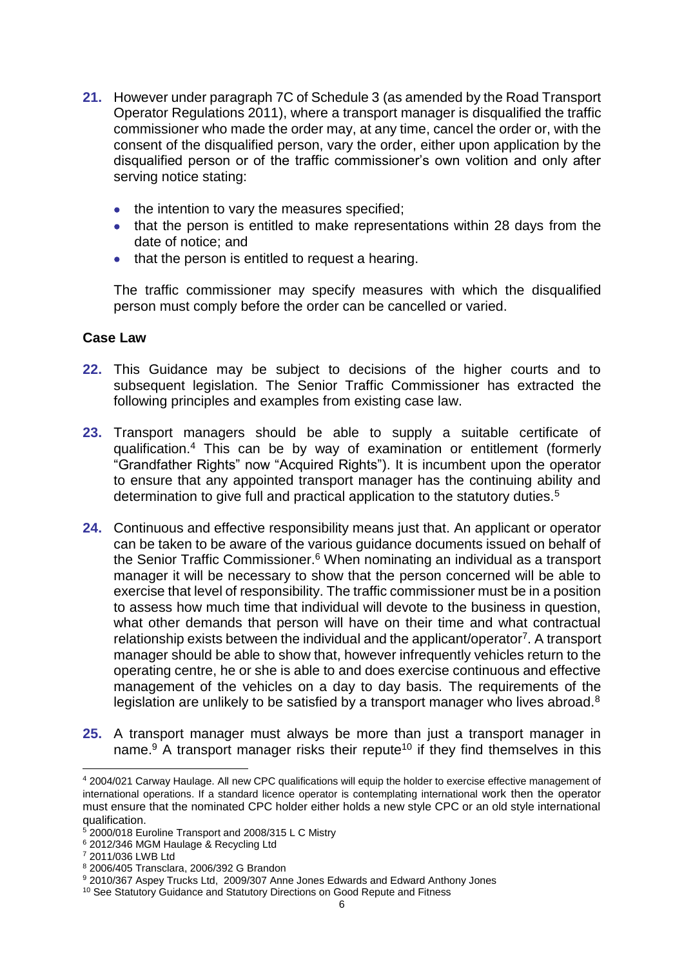- **21.** However under paragraph 7C of Schedule 3 (as amended by the Road Transport Operator Regulations 2011), where a transport manager is disqualified the traffic commissioner who made the order may, at any time, cancel the order or, with the consent of the disqualified person, vary the order, either upon application by the disqualified person or of the traffic commissioner's own volition and only after serving notice stating:
	- the intention to vary the measures specified:
	- that the person is entitled to make representations within 28 days from the date of notice; and
	- that the person is entitled to request a hearing.

The traffic commissioner may specify measures with which the disqualified person must comply before the order can be cancelled or varied.

## **Case Law**

- **22.** This Guidance may be subject to decisions of the higher courts and to subsequent legislation. The Senior Traffic Commissioner has extracted the following principles and examples from existing case law.
- **23.** Transport managers should be able to supply a suitable certificate of qualification.<sup>4</sup> This can be by way of examination or entitlement (formerly "Grandfather Rights" now "Acquired Rights"). It is incumbent upon the operator to ensure that any appointed transport manager has the continuing ability and determination to give full and practical application to the statutory duties.<sup>5</sup>
- **24.** Continuous and effective responsibility means just that. An applicant or operator can be taken to be aware of the various guidance documents issued on behalf of the Senior Traffic Commissioner.<sup>6</sup> When nominating an individual as a transport manager it will be necessary to show that the person concerned will be able to exercise that level of responsibility. The traffic commissioner must be in a position to assess how much time that individual will devote to the business in question, what other demands that person will have on their time and what contractual relationship exists between the individual and the applicant/operator<sup>7</sup>. A transport manager should be able to show that, however infrequently vehicles return to the operating centre, he or she is able to and does exercise continuous and effective management of the vehicles on a day to day basis. The requirements of the legislation are unlikely to be satisfied by a transport manager who lives abroad.<sup>8</sup>
- **25.** A transport manager must always be more than just a transport manager in name.<sup>9</sup> A transport manager risks their repute<sup>10</sup> if they find themselves in this

<sup>1</sup> <sup>4</sup> 2004/021 Carway Haulage. All new CPC qualifications will equip the holder to exercise effective management of international operations. If a standard licence operator is contemplating international work then the operator must ensure that the nominated CPC holder either holds a new style CPC or an old style international qualification.

<sup>5</sup> 2000/018 Euroline Transport and 2008/315 L C Mistry

<sup>6</sup> 2012/346 MGM Haulage & Recycling Ltd

<sup>7</sup> 2011/036 LWB Ltd

<sup>8</sup> 2006/405 Transclara, 2006/392 G Brandon

<sup>9</sup> 2010/367 Aspey Trucks Ltd, 2009/307 Anne Jones Edwards and Edward Anthony Jones

<sup>&</sup>lt;sup>10</sup> See Statutory Guidance and Statutory Directions on Good Repute and Fitness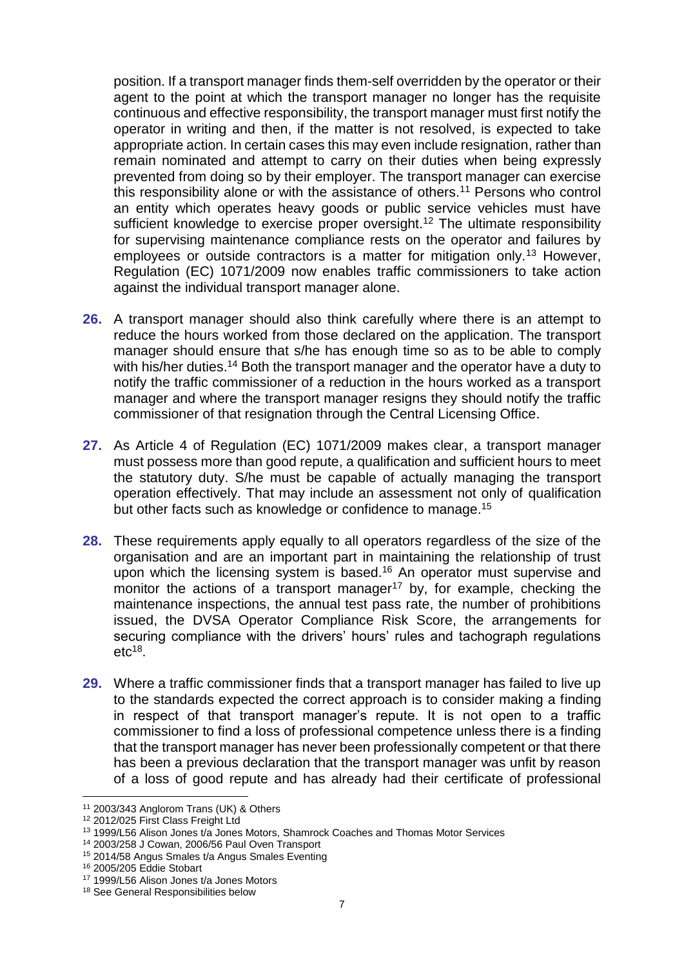position. If a transport manager finds them-self overridden by the operator or their agent to the point at which the transport manager no longer has the requisite continuous and effective responsibility, the transport manager must first notify the operator in writing and then, if the matter is not resolved, is expected to take appropriate action. In certain cases this may even include resignation, rather than remain nominated and attempt to carry on their duties when being expressly prevented from doing so by their employer. The transport manager can exercise this responsibility alone or with the assistance of others.<sup>11</sup> Persons who control an entity which operates heavy goods or public service vehicles must have sufficient knowledge to exercise proper oversight.<sup>12</sup> The ultimate responsibility for supervising maintenance compliance rests on the operator and failures by employees or outside contractors is a matter for mitigation only.<sup>13</sup> However, Regulation (EC) 1071/2009 now enables traffic commissioners to take action against the individual transport manager alone.

- **26.** A transport manager should also think carefully where there is an attempt to reduce the hours worked from those declared on the application. The transport manager should ensure that s/he has enough time so as to be able to comply with his/her duties.<sup>14</sup> Both the transport manager and the operator have a duty to notify the traffic commissioner of a reduction in the hours worked as a transport manager and where the transport manager resigns they should notify the traffic commissioner of that resignation through the Central Licensing Office.
- **27.** As Article 4 of Regulation (EC) 1071/2009 makes clear, a transport manager must possess more than good repute, a qualification and sufficient hours to meet the statutory duty. S/he must be capable of actually managing the transport operation effectively. That may include an assessment not only of qualification but other facts such as knowledge or confidence to manage.<sup>15</sup>
- **28.** These requirements apply equally to all operators regardless of the size of the organisation and are an important part in maintaining the relationship of trust upon which the licensing system is based.<sup>16</sup> An operator must supervise and monitor the actions of a transport manager<sup>17</sup> by, for example, checking the maintenance inspections, the annual test pass rate, the number of prohibitions issued, the DVSA Operator Compliance Risk Score, the arrangements for securing compliance with the drivers' hours' rules and tachograph regulations  $etc<sup>18</sup>$ .
- **29.** Where a traffic commissioner finds that a transport manager has failed to live up to the standards expected the correct approach is to consider making a finding in respect of that transport manager's repute. It is not open to a traffic commissioner to find a loss of professional competence unless there is a finding that the transport manager has never been professionally competent or that there has been a previous declaration that the transport manager was unfit by reason of a loss of good repute and has already had their certificate of professional

<u>.</u>

<sup>11</sup> 2003/343 Anglorom Trans (UK) & Others

<sup>12</sup> 2012/025 First Class Freight Ltd

<sup>13</sup> 1999/L56 Alison Jones t/a Jones Motors, Shamrock Coaches and Thomas Motor Services

<sup>14</sup> 2003/258 J Cowan, 2006/56 Paul Oven Transport

<sup>15</sup> 2014/58 Angus Smales t/a Angus Smales Eventing

<sup>16</sup> 2005/205 Eddie Stobart

<sup>17</sup> 1999/L56 Alison Jones t/a Jones Motors

<sup>18</sup> See General Responsibilities below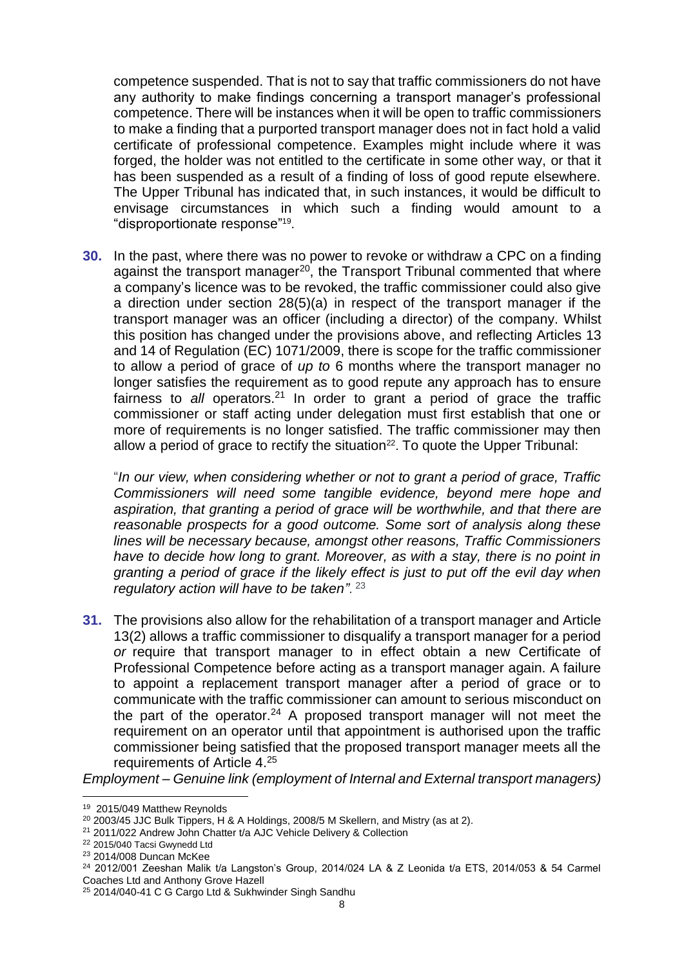competence suspended. That is not to say that traffic commissioners do not have any authority to make findings concerning a transport manager's professional competence. There will be instances when it will be open to traffic commissioners to make a finding that a purported transport manager does not in fact hold a valid certificate of professional competence. Examples might include where it was forged, the holder was not entitled to the certificate in some other way, or that it has been suspended as a result of a finding of loss of good repute elsewhere. The Upper Tribunal has indicated that, in such instances, it would be difficult to envisage circumstances in which such a finding would amount to a "disproportionate response" 19 .

**30.** In the past, where there was no power to revoke or withdraw a CPC on a finding against the transport manager<sup>20</sup>, the Transport Tribunal commented that where a company's licence was to be revoked, the traffic commissioner could also give a direction under section 28(5)(a) in respect of the transport manager if the transport manager was an officer (including a director) of the company. Whilst this position has changed under the provisions above, and reflecting Articles 13 and 14 of Regulation (EC) 1071/2009, there is scope for the traffic commissioner to allow a period of grace of *up to* 6 months where the transport manager no longer satisfies the requirement as to good repute any approach has to ensure fairness to *all* operators. <sup>21</sup> In order to grant a period of grace the traffic commissioner or staff acting under delegation must first establish that one or more of requirements is no longer satisfied. The traffic commissioner may then allow a period of grace to rectify the situation $^{22}$ . To quote the Upper Tribunal:

"*In our view, when considering whether or not to grant a period of grace, Traffic Commissioners will need some tangible evidence, beyond mere hope and aspiration, that granting a period of grace will be worthwhile, and that there are reasonable prospects for a good outcome. Some sort of analysis along these lines will be necessary because, amongst other reasons, Traffic Commissioners have to decide how long to grant. Moreover, as with a stay, there is no point in granting a period of grace if the likely effect is just to put off the evil day when regulatory action will have to be taken"*. 23

**31.** The provisions also allow for the rehabilitation of a transport manager and Article 13(2) allows a traffic commissioner to disqualify a transport manager for a period *or* require that transport manager to in effect obtain a new Certificate of Professional Competence before acting as a transport manager again. A failure to appoint a replacement transport manager after a period of grace or to communicate with the traffic commissioner can amount to serious misconduct on the part of the operator.<sup>24</sup> A proposed transport manager will not meet the requirement on an operator until that appointment is authorised upon the traffic commissioner being satisfied that the proposed transport manager meets all the requirements of Article 4.<sup>25</sup>

*Employment – Genuine link (employment of Internal and External transport managers)*

<u>.</u>

<sup>&</sup>lt;sup>19</sup> 2015/049 Matthew Reynolds

 $20$  2003/45 JJC Bulk Tippers, H & A Holdings, 2008/5 M Skellern, and Mistry (as at 2).

<sup>21</sup> 2011/022 Andrew John Chatter t/a AJC Vehicle Delivery & Collection

<sup>22</sup> 2015/040 Tacsi Gwynedd Ltd

<sup>23</sup> 2014/008 Duncan McKee

 $24$  2012/001 Zeeshan Malik t/a Langston's Group, 2014/024 LA & Z Leonida t/a ETS, 2014/053 & 54 Carmel Coaches Ltd and Anthony Grove Hazell

<sup>25 2014/040-41</sup> C G Cargo Ltd & Sukhwinder Singh Sandhu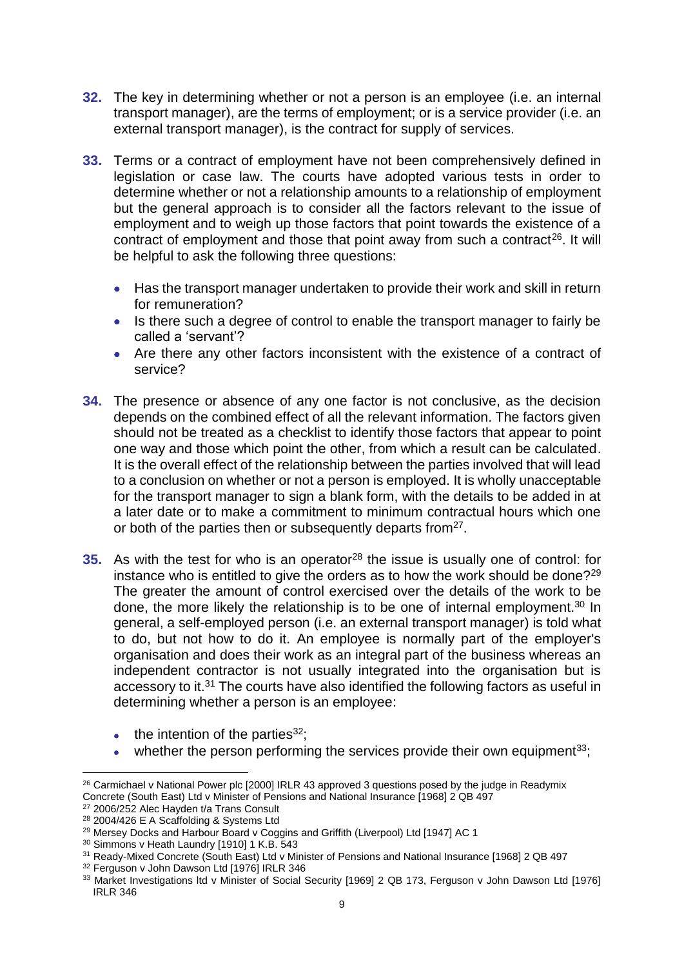- **32.** The key in determining whether or not a person is an employee (i.e. an internal transport manager), are the terms of employment; or is a service provider (i.e. an external transport manager), is the contract for supply of services.
- **33.** Terms or a contract of employment have not been comprehensively defined in legislation or case law. The courts have adopted various tests in order to determine whether or not a relationship amounts to a relationship of employment but the general approach is to consider all the factors relevant to the issue of employment and to weigh up those factors that point towards the existence of a contract of employment and those that point away from such a contract<sup>26</sup>. It will be helpful to ask the following three questions:
	- Has the transport manager undertaken to provide their work and skill in return for remuneration?
	- Is there such a degree of control to enable the transport manager to fairly be called a 'servant'?
	- Are there any other factors inconsistent with the existence of a contract of service?
- **34.** The presence or absence of any one factor is not conclusive, as the decision depends on the combined effect of all the relevant information. The factors given should not be treated as a checklist to identify those factors that appear to point one way and those which point the other, from which a result can be calculated. It is the overall effect of the relationship between the parties involved that will lead to a conclusion on whether or not a person is employed. It is wholly unacceptable for the transport manager to sign a blank form, with the details to be added in at a later date or to make a commitment to minimum contractual hours which one or both of the parties then or subsequently departs from<sup>27</sup>.
- **35.** As with the test for who is an operator<sup>28</sup> the issue is usually one of control: for instance who is entitled to give the orders as to how the work should be done?<sup>29</sup> The greater the amount of control exercised over the details of the work to be done, the more likely the relationship is to be one of internal employment.<sup>30</sup> In general, a self-employed person (i.e. an external transport manager) is told what to do, but not how to do it. An employee is normally part of the employer's organisation and does their work as an integral part of the business whereas an independent contractor is not usually integrated into the organisation but is accessory to it.<sup>31</sup> The courts have also identified the following factors as useful in determining whether a person is an employee:
	- $\bullet$  the intention of the parties<sup>32</sup>;
	- whether the person performing the services provide their own equipment<sup>33</sup>;

<sup>1</sup> <sup>26</sup> Carmichael v National Power plc [2000] IRLR 43 approved 3 questions posed by the judge in Readymix Concrete (South East) Ltd v Minister of Pensions and National Insurance [1968] 2 QB 497

<sup>27</sup> 2006/252 Alec Hayden t/a Trans Consult

<sup>28</sup> 2004/426 E A Scaffolding & Systems Ltd

<sup>&</sup>lt;sup>29</sup> Mersey Docks and Harbour Board v Coggins and Griffith (Liverpool) Ltd [1947] AC 1

<sup>30</sup> Simmons v Heath Laundry [1910] 1 K.B. 543

<sup>31</sup> Ready-Mixed Concrete (South East) Ltd v Minister of Pensions and National Insurance [1968] 2 QB 497

<sup>32</sup> Ferguson v John Dawson Ltd [1976] IRLR 346

<sup>33</sup> Market Investigations ltd v Minister of Social Security [1969] 2 QB 173, Ferguson v John Dawson Ltd [1976] IRLR 346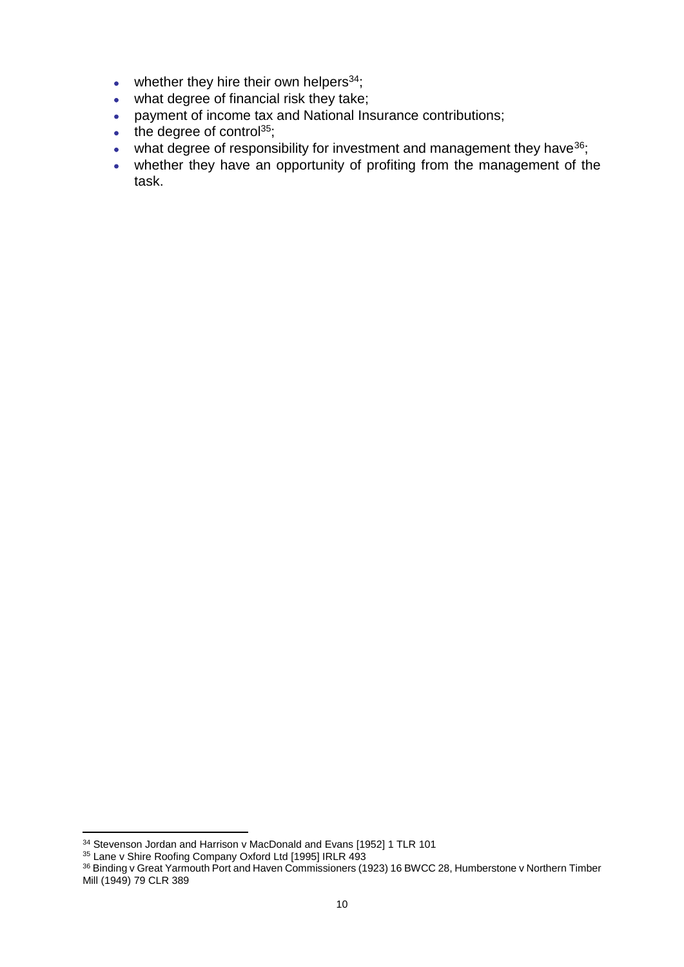- whether they hire their own helpers $34$ ;
- what degree of financial risk they take;
- payment of income tax and National Insurance contributions;
- $\cdot$  the degree of control<sup>35</sup>;
- $\bullet$  what degree of responsibility for investment and management they have  $36$ ;
- whether they have an opportunity of profiting from the management of the task.

1

<sup>&</sup>lt;sup>34</sup> Stevenson Jordan and Harrison v MacDonald and Evans [1952] 1 TLR 101

<sup>35</sup> Lane v Shire Roofing Company Oxford Ltd [1995] IRLR 493

<sup>&</sup>lt;sup>36</sup> Binding v Great Yarmouth Port and Haven Commissioners (1923) 16 BWCC 28, Humberstone v Northern Timber Mill (1949) 79 CLR 389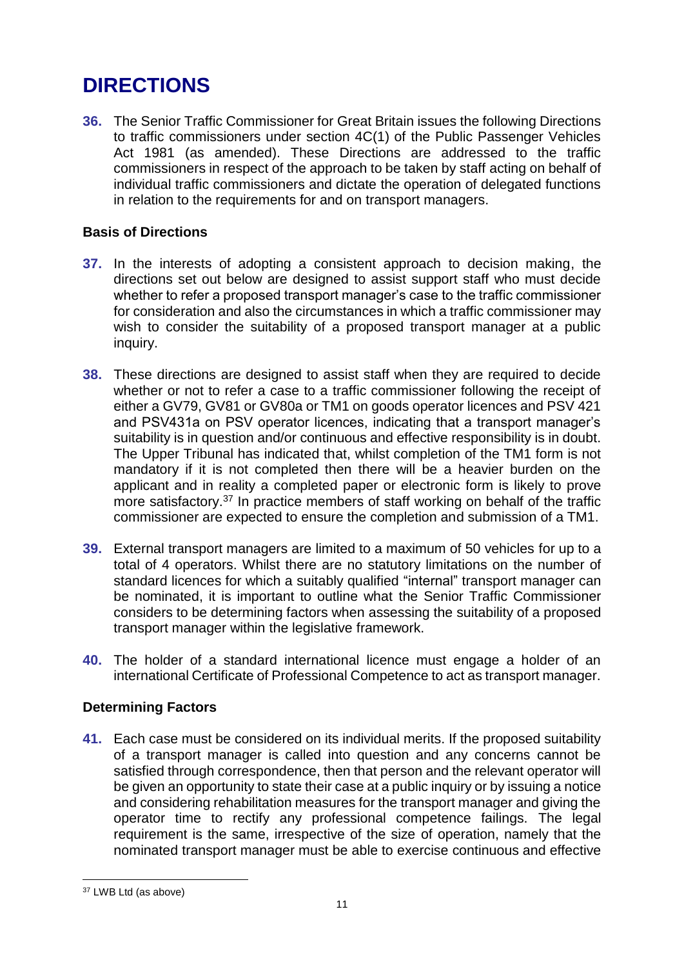## **DIRECTIONS**

**36.** The Senior Traffic Commissioner for Great Britain issues the following Directions to traffic commissioners under section 4C(1) of the Public Passenger Vehicles Act 1981 (as amended). These Directions are addressed to the traffic commissioners in respect of the approach to be taken by staff acting on behalf of individual traffic commissioners and dictate the operation of delegated functions in relation to the requirements for and on transport managers.

## **Basis of Directions**

- **37.** In the interests of adopting a consistent approach to decision making, the directions set out below are designed to assist support staff who must decide whether to refer a proposed transport manager's case to the traffic commissioner for consideration and also the circumstances in which a traffic commissioner may wish to consider the suitability of a proposed transport manager at a public inquiry.
- **38.** These directions are designed to assist staff when they are required to decide whether or not to refer a case to a traffic commissioner following the receipt of either a GV79, GV81 or GV80a or TM1 on goods operator licences and PSV 421 and PSV431a on PSV operator licences, indicating that a transport manager's suitability is in question and/or continuous and effective responsibility is in doubt. The Upper Tribunal has indicated that, whilst completion of the TM1 form is not mandatory if it is not completed then there will be a heavier burden on the applicant and in reality a completed paper or electronic form is likely to prove more satisfactory.<sup>37</sup> In practice members of staff working on behalf of the traffic commissioner are expected to ensure the completion and submission of a TM1.
- **39.** External transport managers are limited to a maximum of 50 vehicles for up to a total of 4 operators. Whilst there are no statutory limitations on the number of standard licences for which a suitably qualified "internal" transport manager can be nominated, it is important to outline what the Senior Traffic Commissioner considers to be determining factors when assessing the suitability of a proposed transport manager within the legislative framework.
- **40.** The holder of a standard international licence must engage a holder of an international Certificate of Professional Competence to act as transport manager.

## **Determining Factors**

**41.** Each case must be considered on its individual merits. If the proposed suitability of a transport manager is called into question and any concerns cannot be satisfied through correspondence, then that person and the relevant operator will be given an opportunity to state their case at a public inquiry or by issuing a notice and considering rehabilitation measures for the transport manager and giving the operator time to rectify any professional competence failings. The legal requirement is the same, irrespective of the size of operation, namely that the nominated transport manager must be able to exercise continuous and effective

<sup>&</sup>lt;u>.</u> <sup>37</sup> LWB Ltd (as above)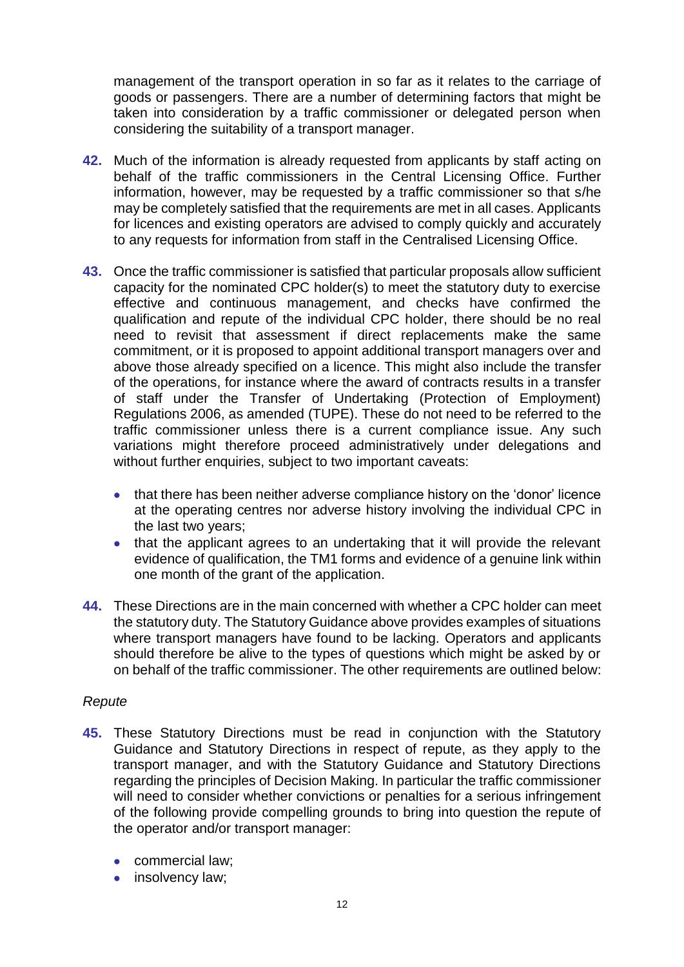management of the transport operation in so far as it relates to the carriage of goods or passengers. There are a number of determining factors that might be taken into consideration by a traffic commissioner or delegated person when considering the suitability of a transport manager.

- **42.** Much of the information is already requested from applicants by staff acting on behalf of the traffic commissioners in the Central Licensing Office. Further information, however, may be requested by a traffic commissioner so that s/he may be completely satisfied that the requirements are met in all cases. Applicants for licences and existing operators are advised to comply quickly and accurately to any requests for information from staff in the Centralised Licensing Office.
- **43.** Once the traffic commissioner is satisfied that particular proposals allow sufficient capacity for the nominated CPC holder(s) to meet the statutory duty to exercise effective and continuous management, and checks have confirmed the qualification and repute of the individual CPC holder, there should be no real need to revisit that assessment if direct replacements make the same commitment, or it is proposed to appoint additional transport managers over and above those already specified on a licence. This might also include the transfer of the operations, for instance where the award of contracts results in a transfer of staff under the Transfer of Undertaking (Protection of Employment) Regulations 2006, as amended (TUPE). These do not need to be referred to the traffic commissioner unless there is a current compliance issue. Any such variations might therefore proceed administratively under delegations and without further enquiries, subject to two important caveats:
	- that there has been neither adverse compliance history on the 'donor' licence at the operating centres nor adverse history involving the individual CPC in the last two years;
	- that the applicant agrees to an undertaking that it will provide the relevant evidence of qualification, the TM1 forms and evidence of a genuine link within one month of the grant of the application.
- **44.** These Directions are in the main concerned with whether a CPC holder can meet the statutory duty. The Statutory Guidance above provides examples of situations where transport managers have found to be lacking. Operators and applicants should therefore be alive to the types of questions which might be asked by or on behalf of the traffic commissioner. The other requirements are outlined below:

## *Repute*

- **45.** These Statutory Directions must be read in conjunction with the Statutory Guidance and Statutory Directions in respect of repute, as they apply to the transport manager, and with the Statutory Guidance and Statutory Directions regarding the principles of Decision Making. In particular the traffic commissioner will need to consider whether convictions or penalties for a serious infringement of the following provide compelling grounds to bring into question the repute of the operator and/or transport manager:
	- commercial law;
	- insolvency law;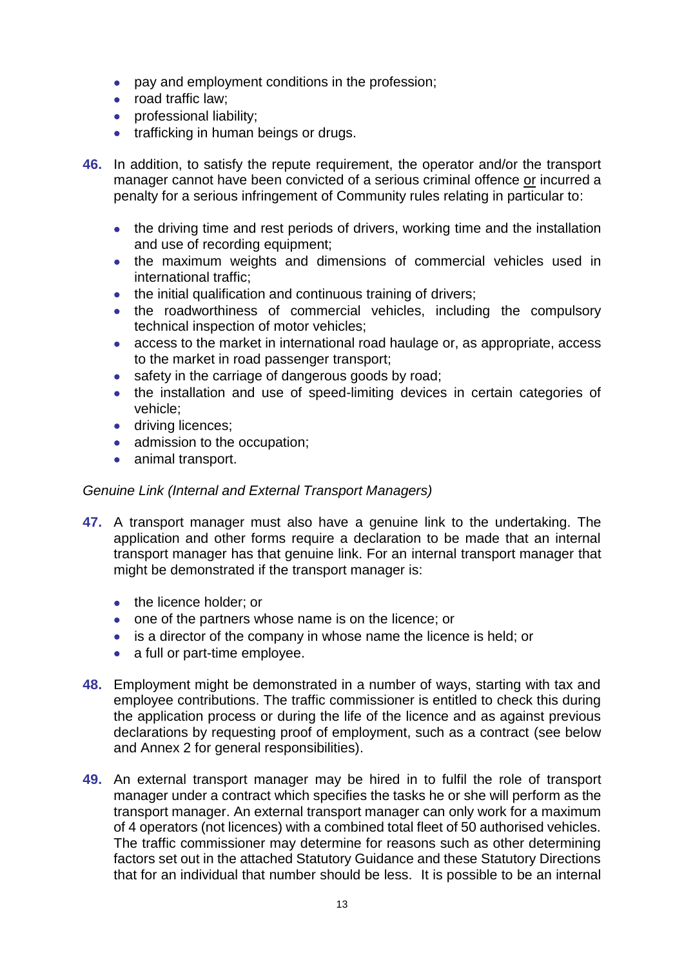- pay and employment conditions in the profession;
- road traffic law:
- **•** professional liability;
- trafficking in human beings or drugs.
- **46.** In addition, to satisfy the repute requirement, the operator and/or the transport manager cannot have been convicted of a serious criminal offence or incurred a penalty for a serious infringement of Community rules relating in particular to:
	- the driving time and rest periods of drivers, working time and the installation and use of recording equipment;
	- the maximum weights and dimensions of commercial vehicles used in international traffic;
	- the initial qualification and continuous training of drivers;
	- the roadworthiness of commercial vehicles, including the compulsory technical inspection of motor vehicles;
	- access to the market in international road haulage or, as appropriate, access to the market in road passenger transport;
	- safety in the carriage of dangerous goods by road;
	- the installation and use of speed-limiting devices in certain categories of vehicle;
	- **·** driving licences:
	- admission to the occupation;
	- animal transport.

## *Genuine Link (Internal and External Transport Managers)*

- **47.** A transport manager must also have a genuine link to the undertaking. The application and other forms require a declaration to be made that an internal transport manager has that genuine link. For an internal transport manager that might be demonstrated if the transport manager is:
	- the licence holder; or
	- one of the partners whose name is on the licence; or
	- is a director of the company in whose name the licence is held; or
	- a full or part-time employee.
- **48.** Employment might be demonstrated in a number of ways, starting with tax and employee contributions. The traffic commissioner is entitled to check this during the application process or during the life of the licence and as against previous declarations by requesting proof of employment, such as a contract (see below and Annex 2 for general responsibilities).
- **49.** An external transport manager may be hired in to fulfil the role of transport manager under a contract which specifies the tasks he or she will perform as the transport manager. An external transport manager can only work for a maximum of 4 operators (not licences) with a combined total fleet of 50 authorised vehicles. The traffic commissioner may determine for reasons such as other determining factors set out in the attached Statutory Guidance and these Statutory Directions that for an individual that number should be less. It is possible to be an internal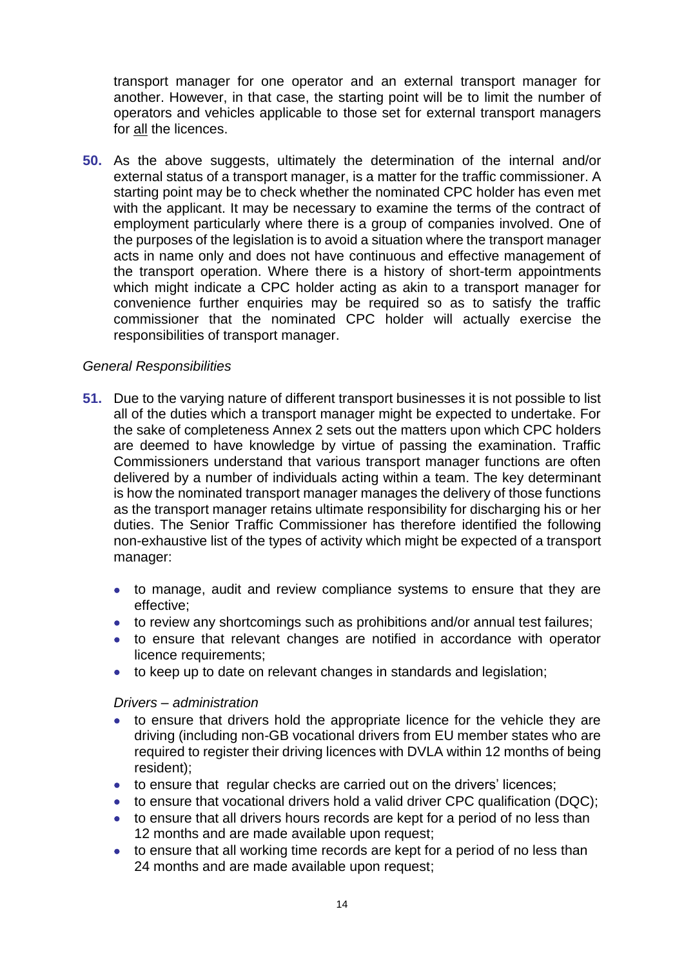transport manager for one operator and an external transport manager for another. However, in that case, the starting point will be to limit the number of operators and vehicles applicable to those set for external transport managers for all the licences.

**50.** As the above suggests, ultimately the determination of the internal and/or external status of a transport manager, is a matter for the traffic commissioner. A starting point may be to check whether the nominated CPC holder has even met with the applicant. It may be necessary to examine the terms of the contract of employment particularly where there is a group of companies involved. One of the purposes of the legislation is to avoid a situation where the transport manager acts in name only and does not have continuous and effective management of the transport operation. Where there is a history of short-term appointments which might indicate a CPC holder acting as akin to a transport manager for convenience further enquiries may be required so as to satisfy the traffic commissioner that the nominated CPC holder will actually exercise the responsibilities of transport manager.

## *General Responsibilities*

- **51.** Due to the varying nature of different transport businesses it is not possible to list all of the duties which a transport manager might be expected to undertake. For the sake of completeness Annex 2 sets out the matters upon which CPC holders are deemed to have knowledge by virtue of passing the examination. Traffic Commissioners understand that various transport manager functions are often delivered by a number of individuals acting within a team. The key determinant is how the nominated transport manager manages the delivery of those functions as the transport manager retains ultimate responsibility for discharging his or her duties. The Senior Traffic Commissioner has therefore identified the following non-exhaustive list of the types of activity which might be expected of a transport manager:
	- to manage, audit and review compliance systems to ensure that they are effective;
	- to review any shortcomings such as prohibitions and/or annual test failures;
	- to ensure that relevant changes are notified in accordance with operator licence requirements;
	- to keep up to date on relevant changes in standards and legislation;

#### *Drivers – administration*

- to ensure that drivers hold the appropriate licence for the vehicle they are driving (including non-GB vocational drivers from EU member states who are required to register their driving licences with DVLA within 12 months of being resident);
- to ensure that regular checks are carried out on the drivers' licences;
- to ensure that vocational drivers hold a valid driver CPC qualification (DQC);
- to ensure that all drivers hours records are kept for a period of no less than 12 months and are made available upon request;
- to ensure that all working time records are kept for a period of no less than 24 months and are made available upon request;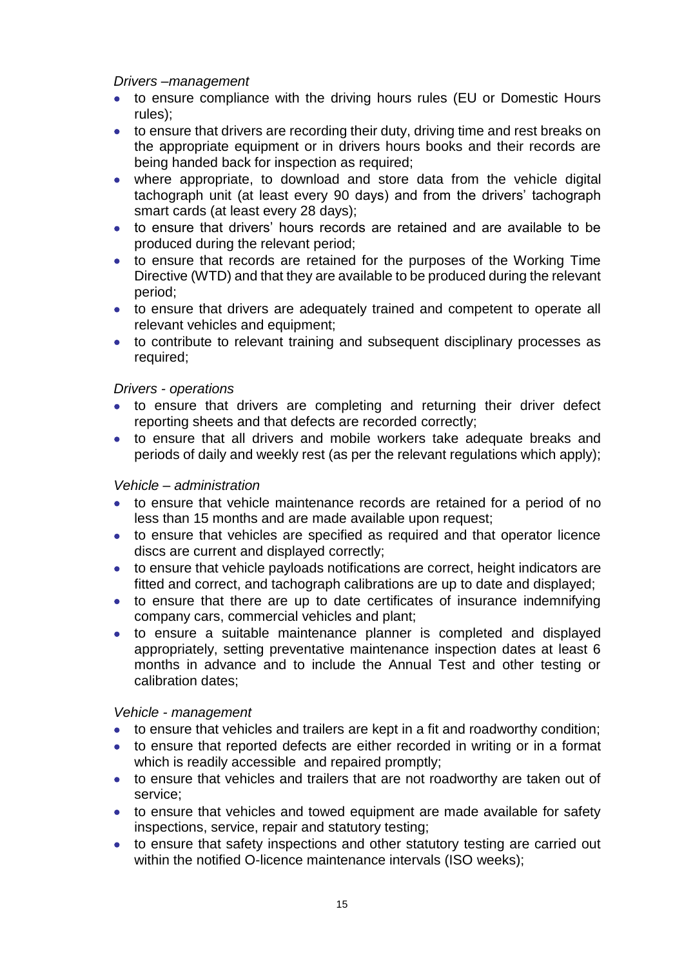### *Drivers –management*

- to ensure compliance with the driving hours rules (EU or Domestic Hours rules);
- to ensure that drivers are recording their duty, driving time and rest breaks on the appropriate equipment or in drivers hours books and their records are being handed back for inspection as required;
- where appropriate, to download and store data from the vehicle digital tachograph unit (at least every 90 days) and from the drivers' tachograph smart cards (at least every 28 days);
- to ensure that drivers' hours records are retained and are available to be produced during the relevant period;
- to ensure that records are retained for the purposes of the Working Time Directive (WTD) and that they are available to be produced during the relevant period;
- to ensure that drivers are adequately trained and competent to operate all relevant vehicles and equipment;
- to contribute to relevant training and subsequent disciplinary processes as required;

## *Drivers - operations*

- to ensure that drivers are completing and returning their driver defect reporting sheets and that defects are recorded correctly;
- to ensure that all drivers and mobile workers take adequate breaks and periods of daily and weekly rest (as per the relevant regulations which apply);

### *Vehicle – administration*

- to ensure that vehicle maintenance records are retained for a period of no less than 15 months and are made available upon request;
- to ensure that vehicles are specified as required and that operator licence discs are current and displayed correctly;
- to ensure that vehicle payloads notifications are correct, height indicators are fitted and correct, and tachograph calibrations are up to date and displayed;
- to ensure that there are up to date certificates of insurance indemnifying company cars, commercial vehicles and plant;
- to ensure a suitable maintenance planner is completed and displayed appropriately, setting preventative maintenance inspection dates at least 6 months in advance and to include the Annual Test and other testing or calibration dates;

#### *Vehicle - management*

- to ensure that vehicles and trailers are kept in a fit and roadworthy condition;
- to ensure that reported defects are either recorded in writing or in a format which is readily accessible and repaired promptly:
- to ensure that vehicles and trailers that are not roadworthy are taken out of service;
- to ensure that vehicles and towed equipment are made available for safety inspections, service, repair and statutory testing;
- to ensure that safety inspections and other statutory testing are carried out within the notified O-licence maintenance intervals (ISO weeks);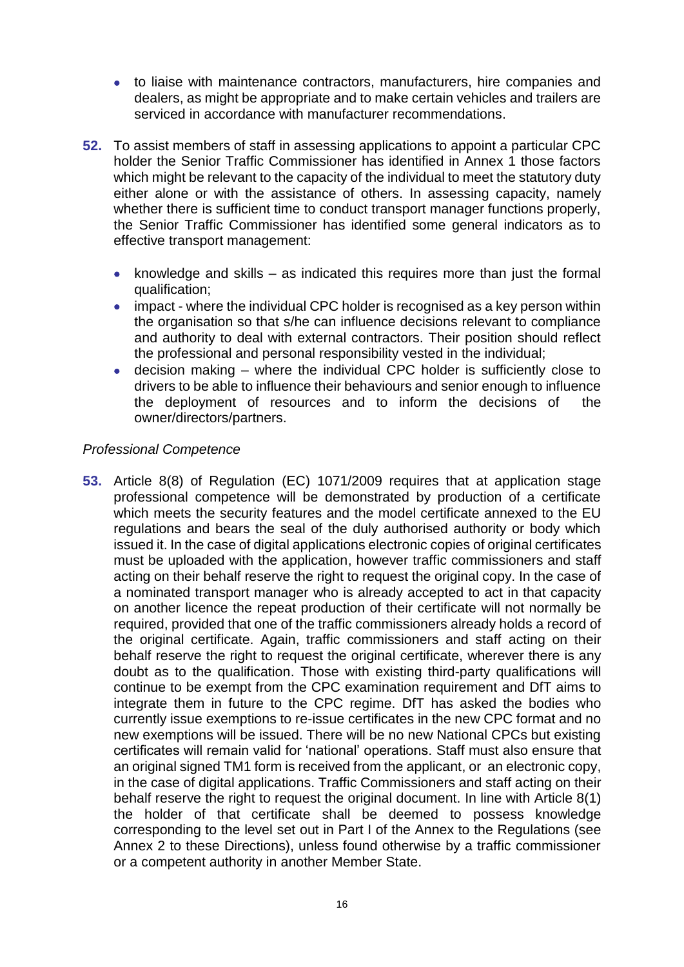- to liaise with maintenance contractors, manufacturers, hire companies and dealers, as might be appropriate and to make certain vehicles and trailers are serviced in accordance with manufacturer recommendations.
- **52.** To assist members of staff in assessing applications to appoint a particular CPC holder the Senior Traffic Commissioner has identified in Annex 1 those factors which might be relevant to the capacity of the individual to meet the statutory duty either alone or with the assistance of others. In assessing capacity, namely whether there is sufficient time to conduct transport manager functions properly, the Senior Traffic Commissioner has identified some general indicators as to effective transport management:
	- knowledge and skills  $-$  as indicated this requires more than just the formal qualification;
	- impact where the individual CPC holder is recognised as a key person within the organisation so that s/he can influence decisions relevant to compliance and authority to deal with external contractors. Their position should reflect the professional and personal responsibility vested in the individual;
	- decision making where the individual CPC holder is sufficiently close to drivers to be able to influence their behaviours and senior enough to influence the deployment of resources and to inform the decisions of the owner/directors/partners.

## *Professional Competence*

**53.** Article 8(8) of Regulation (EC) 1071/2009 requires that at application stage professional competence will be demonstrated by production of a certificate which meets the security features and the model certificate annexed to the EU regulations and bears the seal of the duly authorised authority or body which issued it. In the case of digital applications electronic copies of original certificates must be uploaded with the application, however traffic commissioners and staff acting on their behalf reserve the right to request the original copy. In the case of a nominated transport manager who is already accepted to act in that capacity on another licence the repeat production of their certificate will not normally be required, provided that one of the traffic commissioners already holds a record of the original certificate. Again, traffic commissioners and staff acting on their behalf reserve the right to request the original certificate, wherever there is any doubt as to the qualification. Those with existing third-party qualifications will continue to be exempt from the CPC examination requirement and DfT aims to integrate them in future to the CPC regime. DfT has asked the bodies who currently issue exemptions to re-issue certificates in the new CPC format and no new exemptions will be issued. There will be no new National CPCs but existing certificates will remain valid for 'national' operations. Staff must also ensure that an original signed TM1 form is received from the applicant, or an electronic copy, in the case of digital applications. Traffic Commissioners and staff acting on their behalf reserve the right to request the original document. In line with Article 8(1) the holder of that certificate shall be deemed to possess knowledge corresponding to the level set out in Part I of the Annex to the Regulations (see Annex 2 to these Directions), unless found otherwise by a traffic commissioner or a competent authority in another Member State.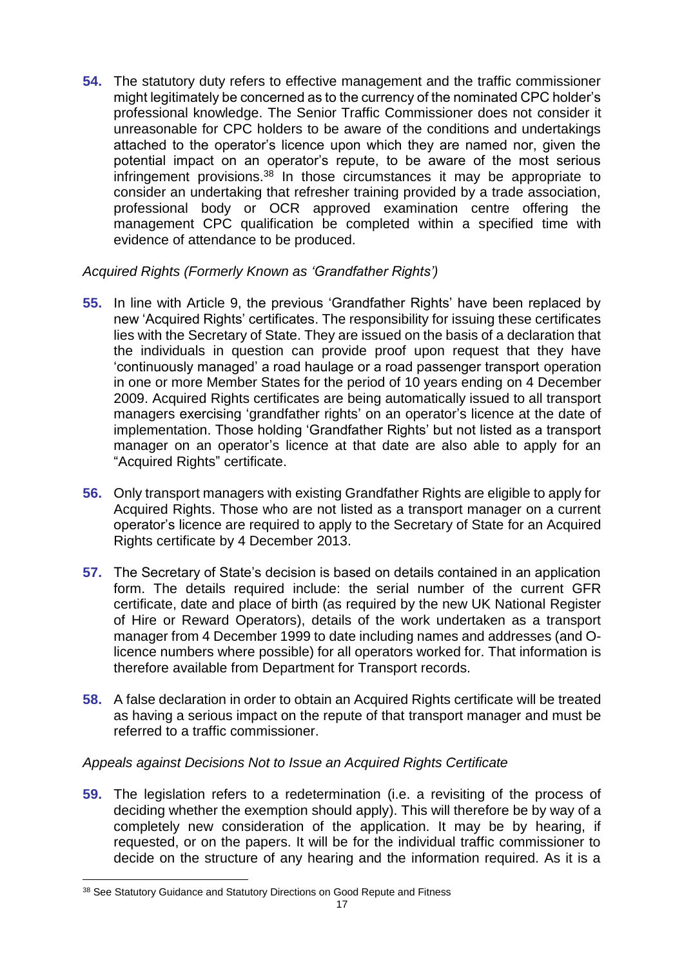**54.** The statutory duty refers to effective management and the traffic commissioner might legitimately be concerned as to the currency of the nominated CPC holder's professional knowledge. The Senior Traffic Commissioner does not consider it unreasonable for CPC holders to be aware of the conditions and undertakings attached to the operator's licence upon which they are named nor, given the potential impact on an operator's repute, to be aware of the most serious infringement provisions.<sup>38</sup> In those circumstances it may be appropriate to consider an undertaking that refresher training provided by a trade association, professional body or OCR approved examination centre offering the management CPC qualification be completed within a specified time with evidence of attendance to be produced.

## *Acquired Rights (Formerly Known as 'Grandfather Rights')*

- **55.** In line with Article 9, the previous 'Grandfather Rights' have been replaced by new 'Acquired Rights' certificates. The responsibility for issuing these certificates lies with the Secretary of State. They are issued on the basis of a declaration that the individuals in question can provide proof upon request that they have 'continuously managed' a road haulage or a road passenger transport operation in one or more Member States for the period of 10 years ending on 4 December 2009. Acquired Rights certificates are being automatically issued to all transport managers exercising 'grandfather rights' on an operator's licence at the date of implementation. Those holding 'Grandfather Rights' but not listed as a transport manager on an operator's licence at that date are also able to apply for an "Acquired Rights" certificate.
- **56.** Only transport managers with existing Grandfather Rights are eligible to apply for Acquired Rights. Those who are not listed as a transport manager on a current operator's licence are required to apply to the Secretary of State for an Acquired Rights certificate by 4 December 2013.
- **57.** The Secretary of State's decision is based on details contained in an application form. The details required include: the serial number of the current GFR certificate, date and place of birth (as required by the new UK National Register of Hire or Reward Operators), details of the work undertaken as a transport manager from 4 December 1999 to date including names and addresses (and Olicence numbers where possible) for all operators worked for. That information is therefore available from Department for Transport records.
- **58.** A false declaration in order to obtain an Acquired Rights certificate will be treated as having a serious impact on the repute of that transport manager and must be referred to a traffic commissioner.

## *Appeals against Decisions Not to Issue an Acquired Rights Certificate*

**59.** The legislation refers to a redetermination (i.e. a revisiting of the process of deciding whether the exemption should apply). This will therefore be by way of a completely new consideration of the application. It may be by hearing, if requested, or on the papers. It will be for the individual traffic commissioner to decide on the structure of any hearing and the information required. As it is a

<sup>&</sup>lt;u>.</u> <sup>38</sup> See Statutory Guidance and Statutory Directions on Good Repute and Fitness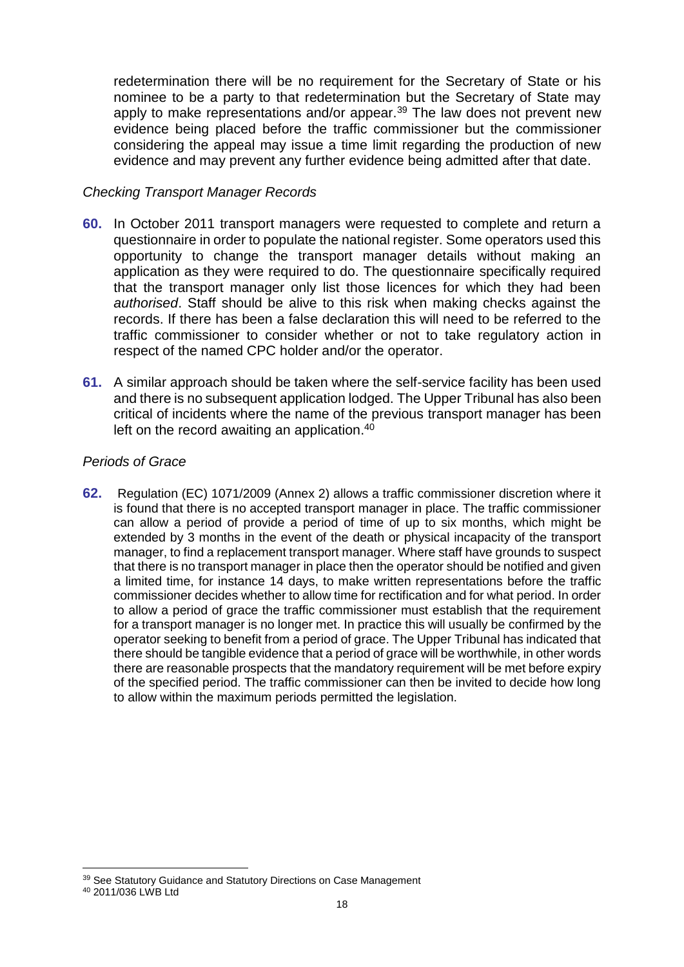redetermination there will be no requirement for the Secretary of State or his nominee to be a party to that redetermination but the Secretary of State may apply to make representations and/or appear.<sup>39</sup> The law does not prevent new evidence being placed before the traffic commissioner but the commissioner considering the appeal may issue a time limit regarding the production of new evidence and may prevent any further evidence being admitted after that date.

## *Checking Transport Manager Records*

- **60.** In October 2011 transport managers were requested to complete and return a questionnaire in order to populate the national register. Some operators used this opportunity to change the transport manager details without making an application as they were required to do. The questionnaire specifically required that the transport manager only list those licences for which they had been *authorised*. Staff should be alive to this risk when making checks against the records. If there has been a false declaration this will need to be referred to the traffic commissioner to consider whether or not to take regulatory action in respect of the named CPC holder and/or the operator.
- **61.** A similar approach should be taken where the self-service facility has been used and there is no subsequent application lodged. The Upper Tribunal has also been critical of incidents where the name of the previous transport manager has been left on the record awaiting an application. 40

## *Periods of Grace*

**62.** Regulation (EC) 1071/2009 (Annex 2) allows a traffic commissioner discretion where it is found that there is no accepted transport manager in place. The traffic commissioner can allow a period of provide a period of time of up to six months, which might be extended by 3 months in the event of the death or physical incapacity of the transport manager, to find a replacement transport manager. Where staff have grounds to suspect that there is no transport manager in place then the operator should be notified and given a limited time, for instance 14 days, to make written representations before the traffic commissioner decides whether to allow time for rectification and for what period. In order to allow a period of grace the traffic commissioner must establish that the requirement for a transport manager is no longer met. In practice this will usually be confirmed by the operator seeking to benefit from a period of grace. The Upper Tribunal has indicated that there should be tangible evidence that a period of grace will be worthwhile, in other words there are reasonable prospects that the mandatory requirement will be met before expiry of the specified period. The traffic commissioner can then be invited to decide how long to allow within the maximum periods permitted the legislation.

1

<sup>&</sup>lt;sup>39</sup> See Statutory Guidance and Statutory Directions on Case Management

<sup>40</sup> 2011/036 LWB Ltd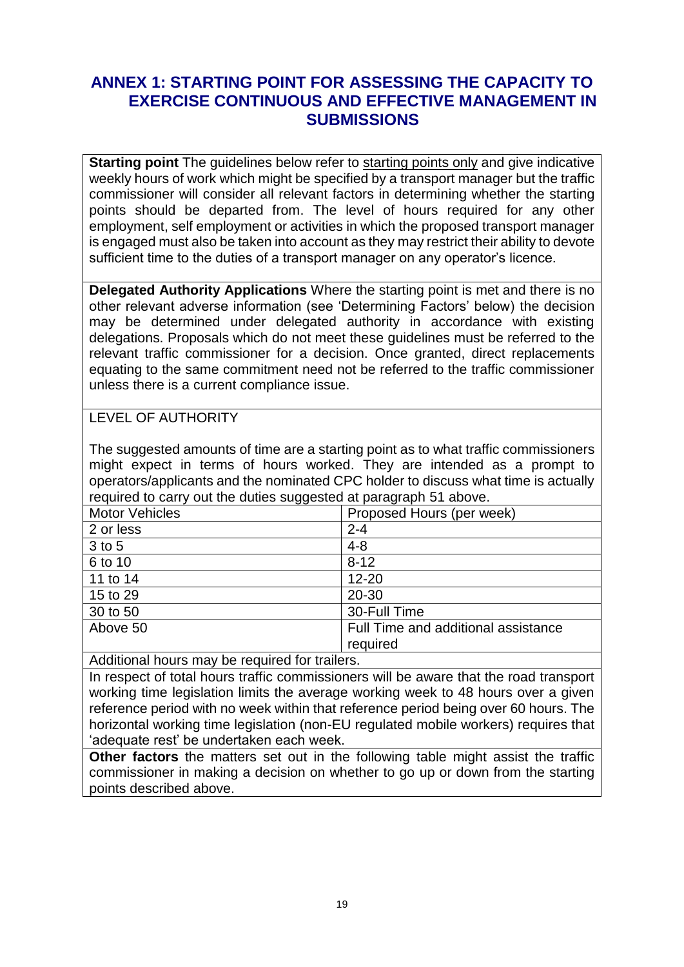## **ANNEX 1: STARTING POINT FOR ASSESSING THE CAPACITY TO EXERCISE CONTINUOUS AND EFFECTIVE MANAGEMENT IN SUBMISSIONS**

**Starting point** The guidelines below refer to starting points only and give indicative weekly hours of work which might be specified by a transport manager but the traffic commissioner will consider all relevant factors in determining whether the starting points should be departed from. The level of hours required for any other employment, self employment or activities in which the proposed transport manager is engaged must also be taken into account as they may restrict their ability to devote sufficient time to the duties of a transport manager on any operator's licence.

**Delegated Authority Applications** Where the starting point is met and there is no other relevant adverse information (see 'Determining Factors' below) the decision may be determined under delegated authority in accordance with existing delegations. Proposals which do not meet these guidelines must be referred to the relevant traffic commissioner for a decision. Once granted, direct replacements equating to the same commitment need not be referred to the traffic commissioner unless there is a current compliance issue.

## LEVEL OF AUTHORITY

The suggested amounts of time are a starting point as to what traffic commissioners might expect in terms of hours worked. They are intended as a prompt to operators/applicants and the nominated CPC holder to discuss what time is actually required to carry out the duties suggested at paragraph 51 above.

| ັັ                    |                                     |
|-----------------------|-------------------------------------|
| <b>Motor Vehicles</b> | Proposed Hours (per week)           |
| 2 or less             | $2 - 4$                             |
| 3 to 5                | $4 - 8$                             |
| 6 to 10               | $8 - 12$                            |
| 11 to 14              | $12 - 20$                           |
| 15 to 29              | 20-30                               |
| 30 to 50              | 30-Full Time                        |
| Above 50              | Full Time and additional assistance |
|                       | required                            |

Additional hours may be required for trailers.

In respect of total hours traffic commissioners will be aware that the road transport working time legislation limits the average working week to 48 hours over a given reference period with no week within that reference period being over 60 hours. The horizontal working time legislation (non-EU regulated mobile workers) requires that 'adequate rest' be undertaken each week.

**Other factors** the matters set out in the following table might assist the traffic commissioner in making a decision on whether to go up or down from the starting points described above.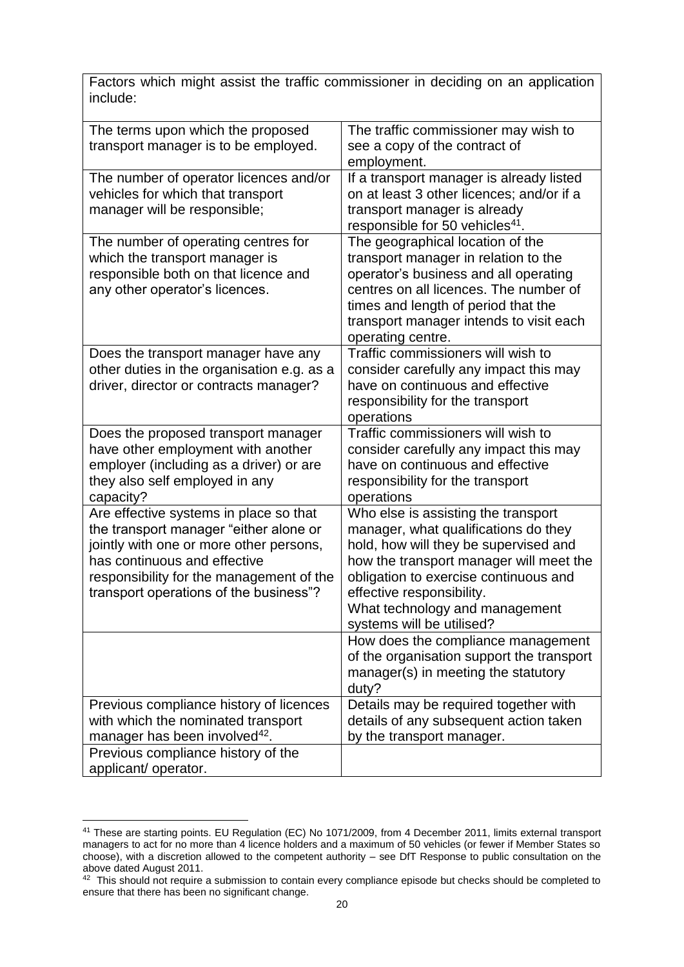Factors which might assist the traffic commissioner in deciding on an application include:

| The terms upon which the proposed<br>transport manager is to be employed.                                                                                                                                                                         | The traffic commissioner may wish to<br>see a copy of the contract of<br>employment.                                                                                                                                                                                                                 |
|---------------------------------------------------------------------------------------------------------------------------------------------------------------------------------------------------------------------------------------------------|------------------------------------------------------------------------------------------------------------------------------------------------------------------------------------------------------------------------------------------------------------------------------------------------------|
| The number of operator licences and/or<br>vehicles for which that transport<br>manager will be responsible;                                                                                                                                       | If a transport manager is already listed<br>on at least 3 other licences; and/or if a<br>transport manager is already<br>responsible for 50 vehicles <sup>41</sup> .                                                                                                                                 |
| The number of operating centres for<br>which the transport manager is<br>responsible both on that licence and<br>any other operator's licences.                                                                                                   | The geographical location of the<br>transport manager in relation to the<br>operator's business and all operating<br>centres on all licences. The number of<br>times and length of period that the<br>transport manager intends to visit each<br>operating centre.                                   |
| Does the transport manager have any<br>other duties in the organisation e.g. as a<br>driver, director or contracts manager?                                                                                                                       | Traffic commissioners will wish to<br>consider carefully any impact this may<br>have on continuous and effective<br>responsibility for the transport<br>operations                                                                                                                                   |
| Does the proposed transport manager<br>have other employment with another<br>employer (including as a driver) or are<br>they also self employed in any<br>capacity?                                                                               | Traffic commissioners will wish to<br>consider carefully any impact this may<br>have on continuous and effective<br>responsibility for the transport<br>operations                                                                                                                                   |
| Are effective systems in place so that<br>the transport manager "either alone or<br>jointly with one or more other persons,<br>has continuous and effective<br>responsibility for the management of the<br>transport operations of the business"? | Who else is assisting the transport<br>manager, what qualifications do they<br>hold, how will they be supervised and<br>how the transport manager will meet the<br>obligation to exercise continuous and<br>effective responsibility.<br>What technology and management<br>systems will be utilised? |
|                                                                                                                                                                                                                                                   | How does the compliance management<br>of the organisation support the transport<br>manager(s) in meeting the statutory<br>duty?                                                                                                                                                                      |
| Previous compliance history of licences<br>with which the nominated transport<br>manager has been involved <sup>42</sup> .                                                                                                                        | Details may be required together with<br>details of any subsequent action taken<br>by the transport manager.                                                                                                                                                                                         |
| Previous compliance history of the<br>applicant/ operator.                                                                                                                                                                                        |                                                                                                                                                                                                                                                                                                      |

<sup>41</sup> These are starting points. EU Regulation (EC) No 1071/2009, from 4 December 2011, limits external transport managers to act for no more than 4 licence holders and a maximum of 50 vehicles (or fewer if Member States so choose), with a discretion allowed to the competent authority – see DfT Response to public consultation on the above dated August 2011.

<u>.</u>

 $42$  This should not require a submission to contain every compliance episode but checks should be completed to ensure that there has been no significant change.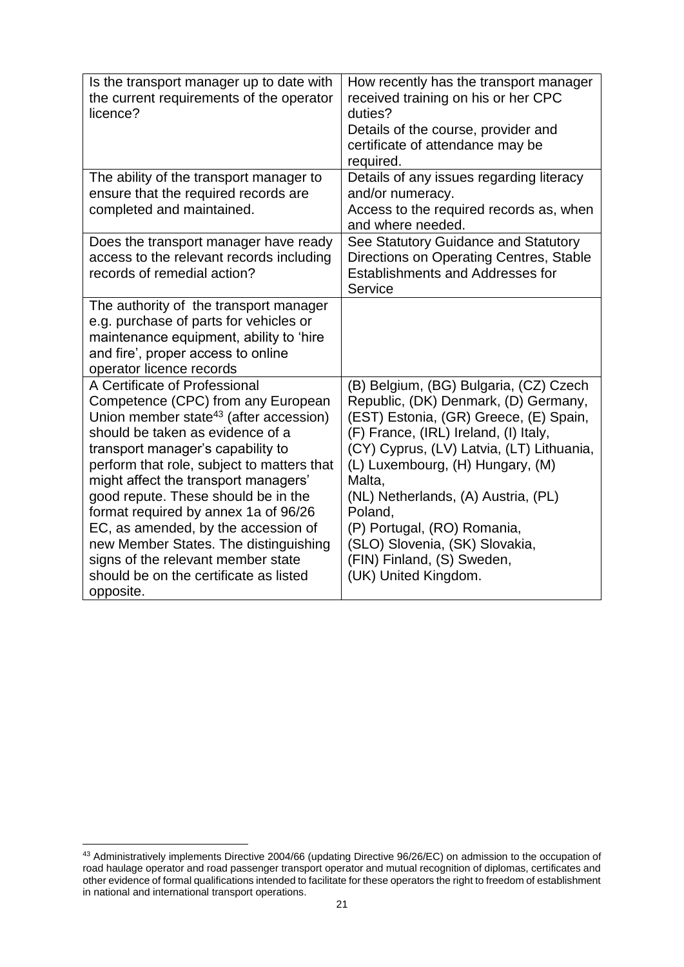| Is the transport manager up to date with<br>the current requirements of the operator<br>licence?                                                                                                                                                                                                                                                                                                                                                                                                                                                     | How recently has the transport manager<br>received training on his or her CPC<br>duties?<br>Details of the course, provider and<br>certificate of attendance may be<br>required.                                                                                                                                                                                                                                                      |
|------------------------------------------------------------------------------------------------------------------------------------------------------------------------------------------------------------------------------------------------------------------------------------------------------------------------------------------------------------------------------------------------------------------------------------------------------------------------------------------------------------------------------------------------------|---------------------------------------------------------------------------------------------------------------------------------------------------------------------------------------------------------------------------------------------------------------------------------------------------------------------------------------------------------------------------------------------------------------------------------------|
| The ability of the transport manager to<br>ensure that the required records are<br>completed and maintained.                                                                                                                                                                                                                                                                                                                                                                                                                                         | Details of any issues regarding literacy<br>and/or numeracy.<br>Access to the required records as, when<br>and where needed.                                                                                                                                                                                                                                                                                                          |
| Does the transport manager have ready<br>access to the relevant records including<br>records of remedial action?                                                                                                                                                                                                                                                                                                                                                                                                                                     | See Statutory Guidance and Statutory<br>Directions on Operating Centres, Stable<br><b>Establishments and Addresses for</b><br>Service                                                                                                                                                                                                                                                                                                 |
| The authority of the transport manager<br>e.g. purchase of parts for vehicles or<br>maintenance equipment, ability to 'hire<br>and fire', proper access to online<br>operator licence records                                                                                                                                                                                                                                                                                                                                                        |                                                                                                                                                                                                                                                                                                                                                                                                                                       |
| A Certificate of Professional<br>Competence (CPC) from any European<br>Union member state <sup>43</sup> (after accession)<br>should be taken as evidence of a<br>transport manager's capability to<br>perform that role, subject to matters that<br>might affect the transport managers'<br>good repute. These should be in the<br>format required by annex 1a of 96/26<br>EC, as amended, by the accession of<br>new Member States. The distinguishing<br>signs of the relevant member state<br>should be on the certificate as listed<br>opposite. | (B) Belgium, (BG) Bulgaria, (CZ) Czech<br>Republic, (DK) Denmark, (D) Germany,<br>(EST) Estonia, (GR) Greece, (E) Spain,<br>(F) France, (IRL) Ireland, (I) Italy,<br>(CY) Cyprus, (LV) Latvia, (LT) Lithuania,<br>(L) Luxembourg, (H) Hungary, (M)<br>Malta,<br>(NL) Netherlands, (A) Austria, (PL)<br>Poland,<br>(P) Portugal, (RO) Romania,<br>(SLO) Slovenia, (SK) Slovakia,<br>(FIN) Finland, (S) Sweden,<br>(UK) United Kingdom. |

1

<sup>&</sup>lt;sup>43</sup> Administratively implements Directive 2004/66 (updating Directive 96/26/EC) on admission to the occupation of road haulage operator and road passenger transport operator and mutual recognition of diplomas, certificates and other evidence of formal qualifications intended to facilitate for these operators the right to freedom of establishment in national and international transport operations.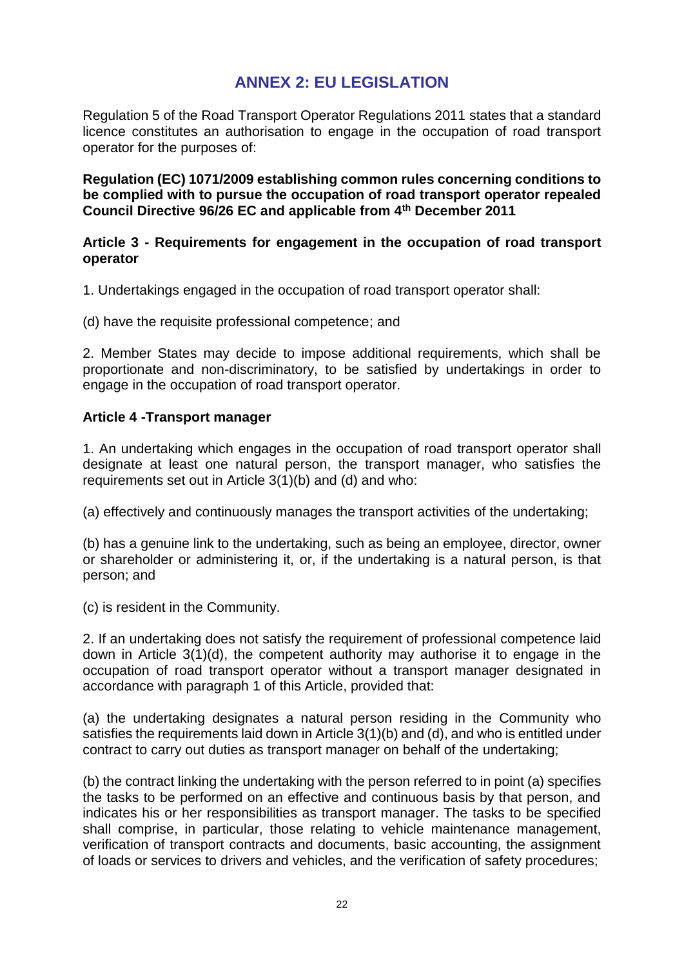## **ANNEX 2: EU LEGISLATION**

Regulation 5 of the Road Transport Operator Regulations 2011 states that a standard licence constitutes an authorisation to engage in the occupation of road transport operator for the purposes of:

**Regulation (EC) 1071/2009 establishing common rules concerning conditions to be complied with to pursue the occupation of road transport operator repealed Council Directive 96/26 EC and applicable from 4th December 2011**

## **Article 3 - Requirements for engagement in the occupation of road transport operator**

1. Undertakings engaged in the occupation of road transport operator shall:

(d) have the requisite professional competence; and

2. Member States may decide to impose additional requirements, which shall be proportionate and non-discriminatory, to be satisfied by undertakings in order to engage in the occupation of road transport operator.

## **Article 4 -Transport manager**

1. An undertaking which engages in the occupation of road transport operator shall designate at least one natural person, the transport manager, who satisfies the requirements set out in Article 3(1)(b) and (d) and who:

(a) effectively and continuously manages the transport activities of the undertaking;

(b) has a genuine link to the undertaking, such as being an employee, director, owner or shareholder or administering it, or, if the undertaking is a natural person, is that person; and

(c) is resident in the Community.

2. If an undertaking does not satisfy the requirement of professional competence laid down in Article 3(1)(d), the competent authority may authorise it to engage in the occupation of road transport operator without a transport manager designated in accordance with paragraph 1 of this Article, provided that:

(a) the undertaking designates a natural person residing in the Community who satisfies the requirements laid down in Article 3(1)(b) and (d), and who is entitled under contract to carry out duties as transport manager on behalf of the undertaking;

(b) the contract linking the undertaking with the person referred to in point (a) specifies the tasks to be performed on an effective and continuous basis by that person, and indicates his or her responsibilities as transport manager. The tasks to be specified shall comprise, in particular, those relating to vehicle maintenance management, verification of transport contracts and documents, basic accounting, the assignment of loads or services to drivers and vehicles, and the verification of safety procedures;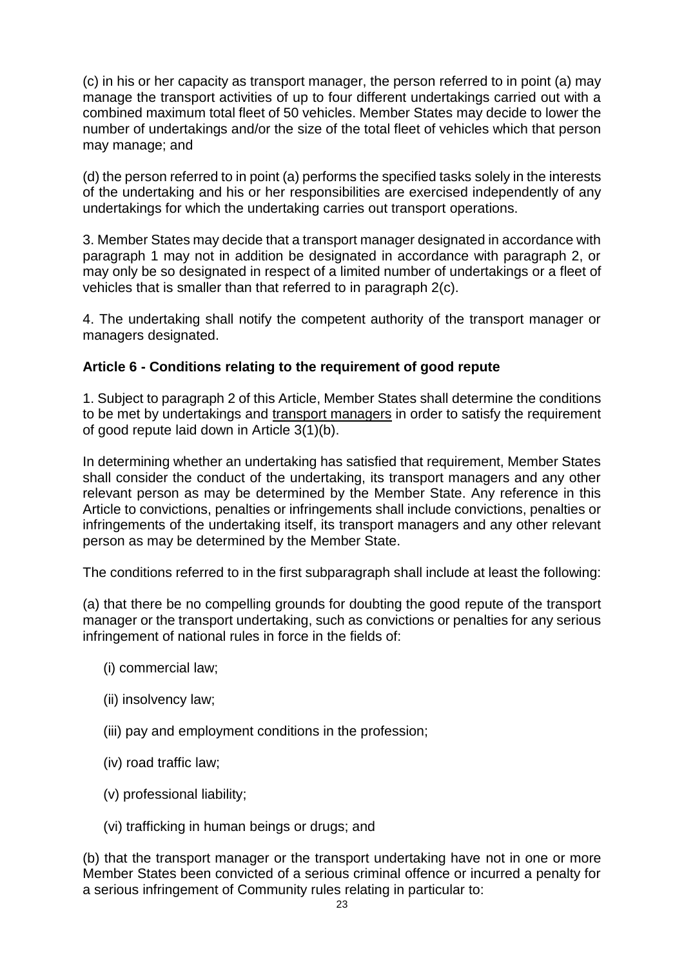(c) in his or her capacity as transport manager, the person referred to in point (a) may manage the transport activities of up to four different undertakings carried out with a combined maximum total fleet of 50 vehicles. Member States may decide to lower the number of undertakings and/or the size of the total fleet of vehicles which that person may manage; and

(d) the person referred to in point (a) performs the specified tasks solely in the interests of the undertaking and his or her responsibilities are exercised independently of any undertakings for which the undertaking carries out transport operations.

3. Member States may decide that a transport manager designated in accordance with paragraph 1 may not in addition be designated in accordance with paragraph 2, or may only be so designated in respect of a limited number of undertakings or a fleet of vehicles that is smaller than that referred to in paragraph 2(c).

4. The undertaking shall notify the competent authority of the transport manager or managers designated.

## **Article 6 - Conditions relating to the requirement of good repute**

1. Subject to paragraph 2 of this Article, Member States shall determine the conditions to be met by undertakings and transport managers in order to satisfy the requirement of good repute laid down in Article 3(1)(b).

In determining whether an undertaking has satisfied that requirement, Member States shall consider the conduct of the undertaking, its transport managers and any other relevant person as may be determined by the Member State. Any reference in this Article to convictions, penalties or infringements shall include convictions, penalties or infringements of the undertaking itself, its transport managers and any other relevant person as may be determined by the Member State.

The conditions referred to in the first subparagraph shall include at least the following:

(a) that there be no compelling grounds for doubting the good repute of the transport manager or the transport undertaking, such as convictions or penalties for any serious infringement of national rules in force in the fields of:

- (i) commercial law;
- (ii) insolvency law;
- (iii) pay and employment conditions in the profession;
- (iv) road traffic law;
- (v) professional liability;
- (vi) trafficking in human beings or drugs; and

(b) that the transport manager or the transport undertaking have not in one or more Member States been convicted of a serious criminal offence or incurred a penalty for a serious infringement of Community rules relating in particular to: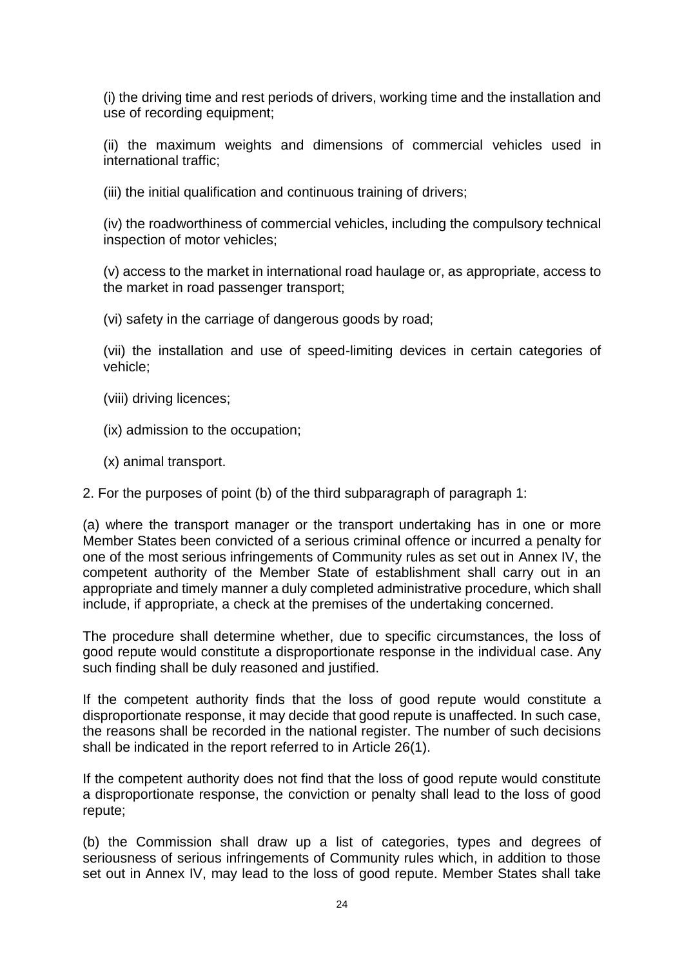(i) the driving time and rest periods of drivers, working time and the installation and use of recording equipment;

(ii) the maximum weights and dimensions of commercial vehicles used in international traffic;

(iii) the initial qualification and continuous training of drivers;

(iv) the roadworthiness of commercial vehicles, including the compulsory technical inspection of motor vehicles;

(v) access to the market in international road haulage or, as appropriate, access to the market in road passenger transport;

(vi) safety in the carriage of dangerous goods by road;

(vii) the installation and use of speed-limiting devices in certain categories of vehicle;

- (viii) driving licences;
- (ix) admission to the occupation;
- (x) animal transport.

2. For the purposes of point (b) of the third subparagraph of paragraph 1:

(a) where the transport manager or the transport undertaking has in one or more Member States been convicted of a serious criminal offence or incurred a penalty for one of the most serious infringements of Community rules as set out in Annex IV, the competent authority of the Member State of establishment shall carry out in an appropriate and timely manner a duly completed administrative procedure, which shall include, if appropriate, a check at the premises of the undertaking concerned.

The procedure shall determine whether, due to specific circumstances, the loss of good repute would constitute a disproportionate response in the individual case. Any such finding shall be duly reasoned and justified.

If the competent authority finds that the loss of good repute would constitute a disproportionate response, it may decide that good repute is unaffected. In such case, the reasons shall be recorded in the national register. The number of such decisions shall be indicated in the report referred to in Article 26(1).

If the competent authority does not find that the loss of good repute would constitute a disproportionate response, the conviction or penalty shall lead to the loss of good repute;

(b) the Commission shall draw up a list of categories, types and degrees of seriousness of serious infringements of Community rules which, in addition to those set out in Annex IV, may lead to the loss of good repute. Member States shall take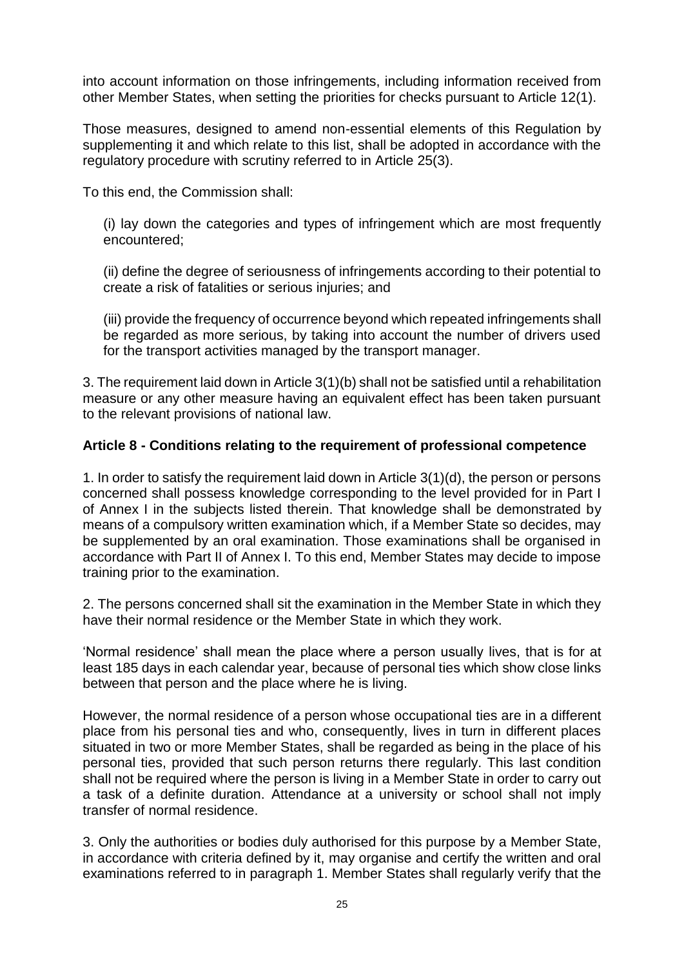into account information on those infringements, including information received from other Member States, when setting the priorities for checks pursuant to Article 12(1).

Those measures, designed to amend non-essential elements of this Regulation by supplementing it and which relate to this list, shall be adopted in accordance with the regulatory procedure with scrutiny referred to in Article 25(3).

To this end, the Commission shall:

(i) lay down the categories and types of infringement which are most frequently encountered;

(ii) define the degree of seriousness of infringements according to their potential to create a risk of fatalities or serious injuries; and

(iii) provide the frequency of occurrence beyond which repeated infringements shall be regarded as more serious, by taking into account the number of drivers used for the transport activities managed by the transport manager.

3. The requirement laid down in Article 3(1)(b) shall not be satisfied until a rehabilitation measure or any other measure having an equivalent effect has been taken pursuant to the relevant provisions of national law.

## **Article 8 - Conditions relating to the requirement of professional competence**

1. In order to satisfy the requirement laid down in Article 3(1)(d), the person or persons concerned shall possess knowledge corresponding to the level provided for in Part I of Annex I in the subjects listed therein. That knowledge shall be demonstrated by means of a compulsory written examination which, if a Member State so decides, may be supplemented by an oral examination. Those examinations shall be organised in accordance with Part II of Annex I. To this end, Member States may decide to impose training prior to the examination.

2. The persons concerned shall sit the examination in the Member State in which they have their normal residence or the Member State in which they work.

'Normal residence' shall mean the place where a person usually lives, that is for at least 185 days in each calendar year, because of personal ties which show close links between that person and the place where he is living.

However, the normal residence of a person whose occupational ties are in a different place from his personal ties and who, consequently, lives in turn in different places situated in two or more Member States, shall be regarded as being in the place of his personal ties, provided that such person returns there regularly. This last condition shall not be required where the person is living in a Member State in order to carry out a task of a definite duration. Attendance at a university or school shall not imply transfer of normal residence.

3. Only the authorities or bodies duly authorised for this purpose by a Member State, in accordance with criteria defined by it, may organise and certify the written and oral examinations referred to in paragraph 1. Member States shall regularly verify that the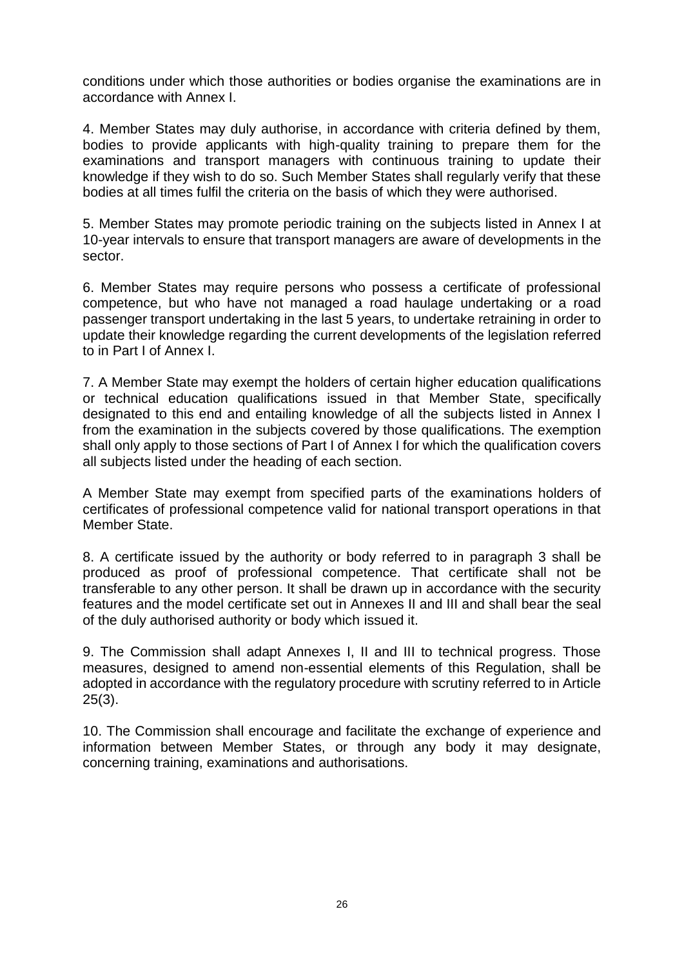conditions under which those authorities or bodies organise the examinations are in accordance with Annex I.

4. Member States may duly authorise, in accordance with criteria defined by them, bodies to provide applicants with high-quality training to prepare them for the examinations and transport managers with continuous training to update their knowledge if they wish to do so. Such Member States shall regularly verify that these bodies at all times fulfil the criteria on the basis of which they were authorised.

5. Member States may promote periodic training on the subjects listed in Annex I at 10-year intervals to ensure that transport managers are aware of developments in the sector.

6. Member States may require persons who possess a certificate of professional competence, but who have not managed a road haulage undertaking or a road passenger transport undertaking in the last 5 years, to undertake retraining in order to update their knowledge regarding the current developments of the legislation referred to in Part I of Annex I.

7. A Member State may exempt the holders of certain higher education qualifications or technical education qualifications issued in that Member State, specifically designated to this end and entailing knowledge of all the subjects listed in Annex I from the examination in the subjects covered by those qualifications. The exemption shall only apply to those sections of Part I of Annex I for which the qualification covers all subjects listed under the heading of each section.

A Member State may exempt from specified parts of the examinations holders of certificates of professional competence valid for national transport operations in that Member State.

8. A certificate issued by the authority or body referred to in paragraph 3 shall be produced as proof of professional competence. That certificate shall not be transferable to any other person. It shall be drawn up in accordance with the security features and the model certificate set out in Annexes II and III and shall bear the seal of the duly authorised authority or body which issued it.

9. The Commission shall adapt Annexes I, II and III to technical progress. Those measures, designed to amend non-essential elements of this Regulation, shall be adopted in accordance with the regulatory procedure with scrutiny referred to in Article 25(3).

10. The Commission shall encourage and facilitate the exchange of experience and information between Member States, or through any body it may designate, concerning training, examinations and authorisations.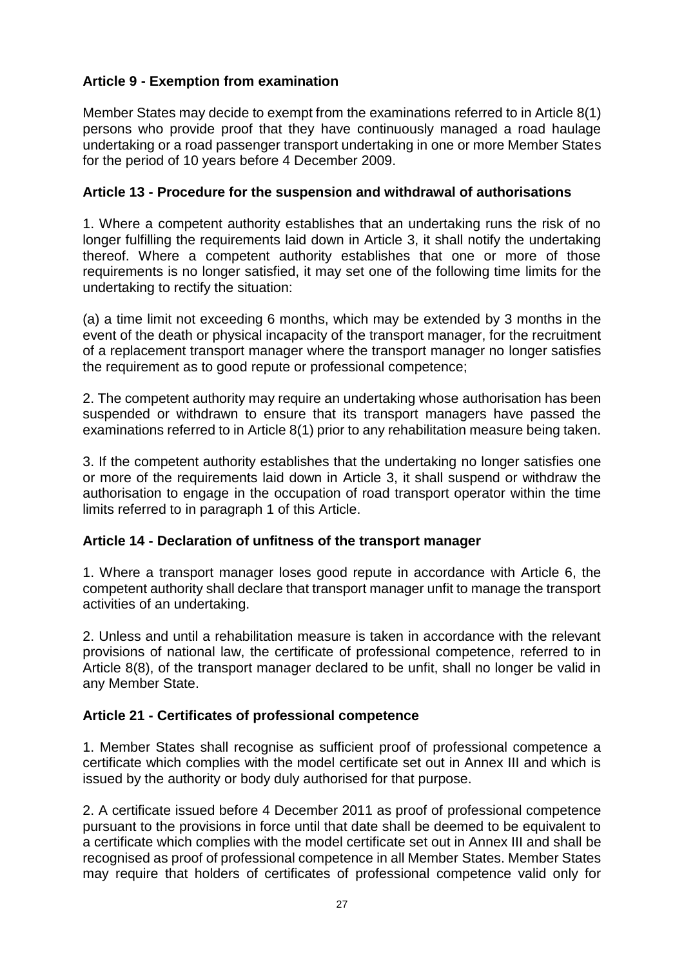## **Article 9 - Exemption from examination**

Member States may decide to exempt from the examinations referred to in Article 8(1) persons who provide proof that they have continuously managed a road haulage undertaking or a road passenger transport undertaking in one or more Member States for the period of 10 years before 4 December 2009.

## **Article 13 - Procedure for the suspension and withdrawal of authorisations**

1. Where a competent authority establishes that an undertaking runs the risk of no longer fulfilling the requirements laid down in Article 3, it shall notify the undertaking thereof. Where a competent authority establishes that one or more of those requirements is no longer satisfied, it may set one of the following time limits for the undertaking to rectify the situation:

(a) a time limit not exceeding 6 months, which may be extended by 3 months in the event of the death or physical incapacity of the transport manager, for the recruitment of a replacement transport manager where the transport manager no longer satisfies the requirement as to good repute or professional competence;

2. The competent authority may require an undertaking whose authorisation has been suspended or withdrawn to ensure that its transport managers have passed the examinations referred to in Article 8(1) prior to any rehabilitation measure being taken.

3. If the competent authority establishes that the undertaking no longer satisfies one or more of the requirements laid down in Article 3, it shall suspend or withdraw the authorisation to engage in the occupation of road transport operator within the time limits referred to in paragraph 1 of this Article.

## **Article 14 - Declaration of unfitness of the transport manager**

1. Where a transport manager loses good repute in accordance with Article 6, the competent authority shall declare that transport manager unfit to manage the transport activities of an undertaking.

2. Unless and until a rehabilitation measure is taken in accordance with the relevant provisions of national law, the certificate of professional competence, referred to in Article 8(8), of the transport manager declared to be unfit, shall no longer be valid in any Member State.

## **Article 21 - Certificates of professional competence**

1. Member States shall recognise as sufficient proof of professional competence a certificate which complies with the model certificate set out in Annex III and which is issued by the authority or body duly authorised for that purpose.

2. A certificate issued before 4 December 2011 as proof of professional competence pursuant to the provisions in force until that date shall be deemed to be equivalent to a certificate which complies with the model certificate set out in Annex III and shall be recognised as proof of professional competence in all Member States. Member States may require that holders of certificates of professional competence valid only for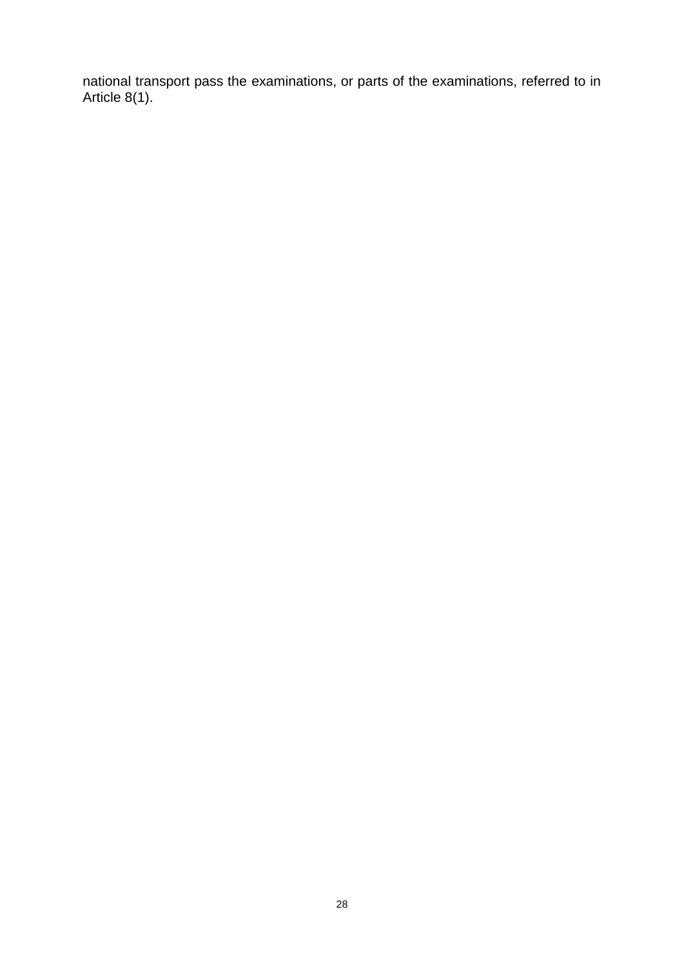national transport pass the examinations, or parts of the examinations, referred to in Article 8(1).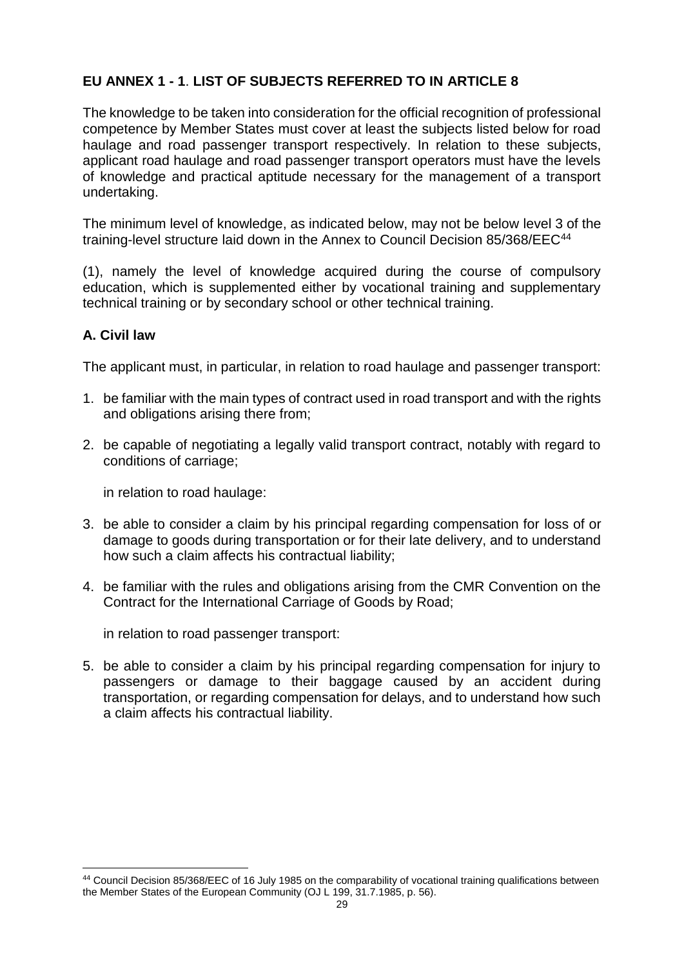## **EU ANNEX 1 - 1**. **LIST OF SUBJECTS REFERRED TO IN ARTICLE 8**

The knowledge to be taken into consideration for the official recognition of professional competence by Member States must cover at least the subjects listed below for road haulage and road passenger transport respectively. In relation to these subjects, applicant road haulage and road passenger transport operators must have the levels of knowledge and practical aptitude necessary for the management of a transport undertaking.

The minimum level of knowledge, as indicated below, may not be below level 3 of the training-level structure laid down in the Annex to Council Decision 85/368/EEC<sup>44</sup>

(1), namely the level of knowledge acquired during the course of compulsory education, which is supplemented either by vocational training and supplementary technical training or by secondary school or other technical training.

## **A. Civil law**

The applicant must, in particular, in relation to road haulage and passenger transport:

- 1. be familiar with the main types of contract used in road transport and with the rights and obligations arising there from;
- 2. be capable of negotiating a legally valid transport contract, notably with regard to conditions of carriage;

in relation to road haulage:

- 3. be able to consider a claim by his principal regarding compensation for loss of or damage to goods during transportation or for their late delivery, and to understand how such a claim affects his contractual liability;
- 4. be familiar with the rules and obligations arising from the CMR Convention on the Contract for the International Carriage of Goods by Road;

in relation to road passenger transport:

5. be able to consider a claim by his principal regarding compensation for injury to passengers or damage to their baggage caused by an accident during transportation, or regarding compensation for delays, and to understand how such a claim affects his contractual liability.

<sup>1</sup> <sup>44</sup> Council Decision 85/368/EEC of 16 July 1985 on the comparability of vocational training qualifications between the Member States of the European Community (OJ L 199, 31.7.1985, p. 56).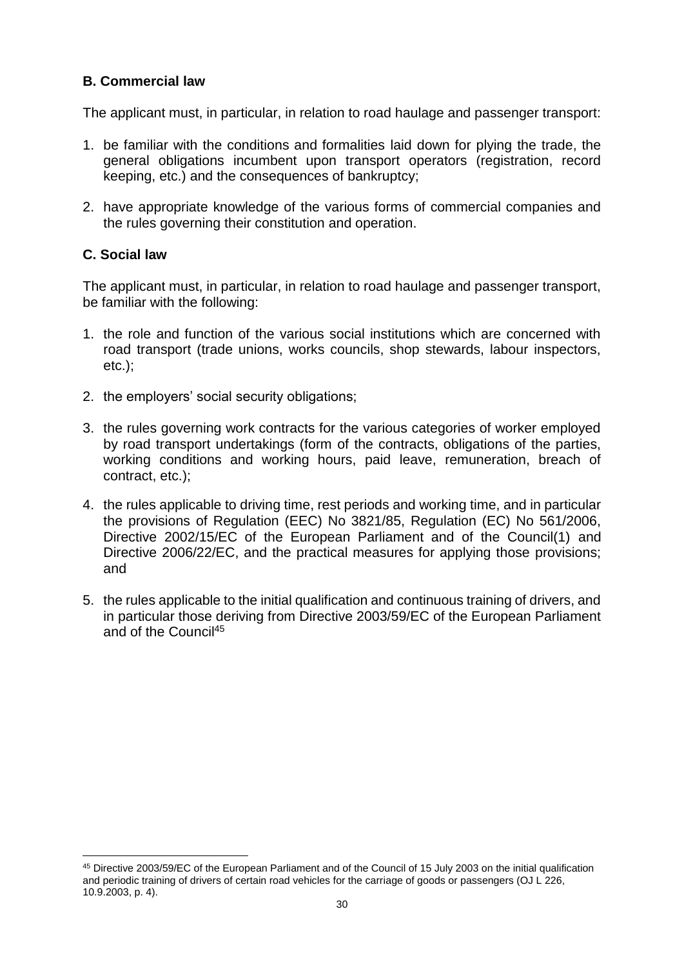## **B. Commercial law**

The applicant must, in particular, in relation to road haulage and passenger transport:

- 1. be familiar with the conditions and formalities laid down for plying the trade, the general obligations incumbent upon transport operators (registration, record keeping, etc.) and the consequences of bankruptcy;
- 2. have appropriate knowledge of the various forms of commercial companies and the rules governing their constitution and operation.

## **C. Social law**

1

The applicant must, in particular, in relation to road haulage and passenger transport, be familiar with the following:

- 1. the role and function of the various social institutions which are concerned with road transport (trade unions, works councils, shop stewards, labour inspectors, etc.);
- 2. the employers' social security obligations;
- 3. the rules governing work contracts for the various categories of worker employed by road transport undertakings (form of the contracts, obligations of the parties, working conditions and working hours, paid leave, remuneration, breach of contract, etc.);
- 4. the rules applicable to driving time, rest periods and working time, and in particular the provisions of Regulation (EEC) No 3821/85, Regulation (EC) No 561/2006, Directive 2002/15/EC of the European Parliament and of the Council(1) and Directive 2006/22/EC, and the practical measures for applying those provisions; and
- 5. the rules applicable to the initial qualification and continuous training of drivers, and in particular those deriving from Directive 2003/59/EC of the European Parliament and of the Council<sup>45</sup>

<sup>45</sup> Directive 2003/59/EC of the European Parliament and of the Council of 15 July 2003 on the initial qualification and periodic training of drivers of certain road vehicles for the carriage of goods or passengers (OJ L 226, 10.9.2003, p. 4).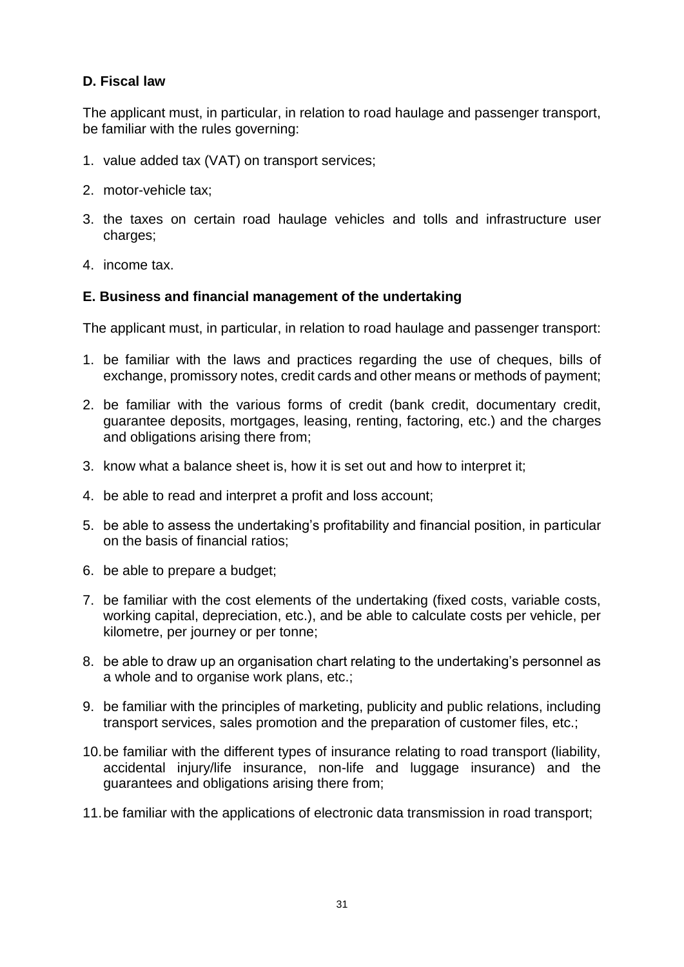## **D. Fiscal law**

The applicant must, in particular, in relation to road haulage and passenger transport, be familiar with the rules governing:

- 1. value added tax (VAT) on transport services;
- 2. motor-vehicle tax;
- 3. the taxes on certain road haulage vehicles and tolls and infrastructure user charges;
- 4. income tax.

## **E. Business and financial management of the undertaking**

The applicant must, in particular, in relation to road haulage and passenger transport:

- 1. be familiar with the laws and practices regarding the use of cheques, bills of exchange, promissory notes, credit cards and other means or methods of payment;
- 2. be familiar with the various forms of credit (bank credit, documentary credit, guarantee deposits, mortgages, leasing, renting, factoring, etc.) and the charges and obligations arising there from;
- 3. know what a balance sheet is, how it is set out and how to interpret it;
- 4. be able to read and interpret a profit and loss account;
- 5. be able to assess the undertaking's profitability and financial position, in particular on the basis of financial ratios;
- 6. be able to prepare a budget;
- 7. be familiar with the cost elements of the undertaking (fixed costs, variable costs, working capital, depreciation, etc.), and be able to calculate costs per vehicle, per kilometre, per journey or per tonne;
- 8. be able to draw up an organisation chart relating to the undertaking's personnel as a whole and to organise work plans, etc.;
- 9. be familiar with the principles of marketing, publicity and public relations, including transport services, sales promotion and the preparation of customer files, etc.;
- 10.be familiar with the different types of insurance relating to road transport (liability, accidental injury/life insurance, non-life and luggage insurance) and the guarantees and obligations arising there from;
- 11.be familiar with the applications of electronic data transmission in road transport;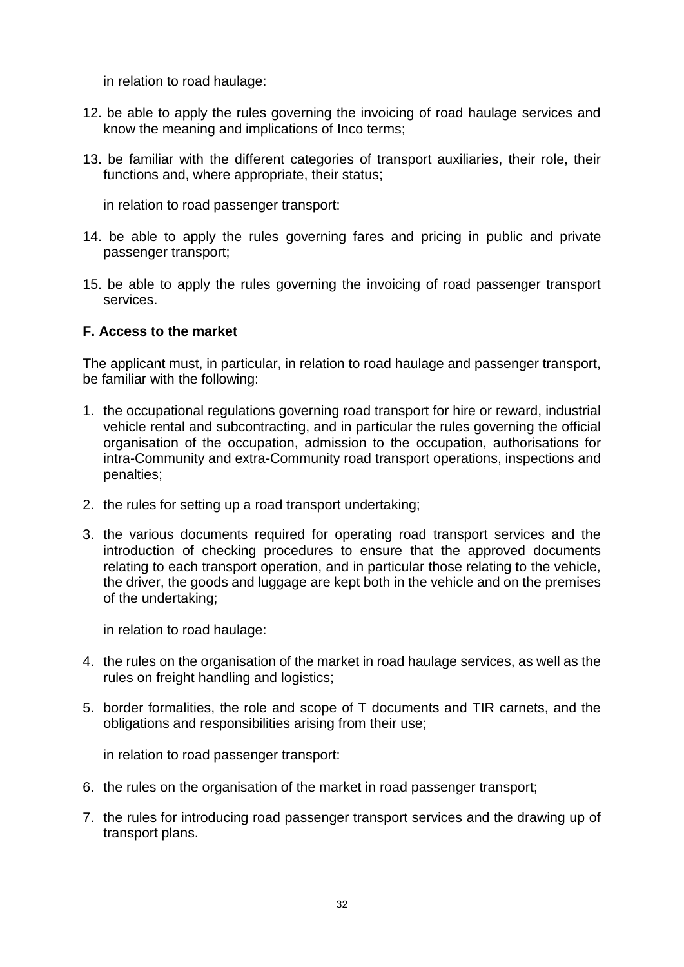in relation to road haulage:

- 12. be able to apply the rules governing the invoicing of road haulage services and know the meaning and implications of Inco terms;
- 13. be familiar with the different categories of transport auxiliaries, their role, their functions and, where appropriate, their status;

in relation to road passenger transport:

- 14. be able to apply the rules governing fares and pricing in public and private passenger transport;
- 15. be able to apply the rules governing the invoicing of road passenger transport services.

## **F. Access to the market**

The applicant must, in particular, in relation to road haulage and passenger transport, be familiar with the following:

- 1. the occupational regulations governing road transport for hire or reward, industrial vehicle rental and subcontracting, and in particular the rules governing the official organisation of the occupation, admission to the occupation, authorisations for intra-Community and extra-Community road transport operations, inspections and penalties;
- 2. the rules for setting up a road transport undertaking;
- 3. the various documents required for operating road transport services and the introduction of checking procedures to ensure that the approved documents relating to each transport operation, and in particular those relating to the vehicle, the driver, the goods and luggage are kept both in the vehicle and on the premises of the undertaking;

in relation to road haulage:

- 4. the rules on the organisation of the market in road haulage services, as well as the rules on freight handling and logistics;
- 5. border formalities, the role and scope of T documents and TIR carnets, and the obligations and responsibilities arising from their use;

in relation to road passenger transport:

- 6. the rules on the organisation of the market in road passenger transport;
- 7. the rules for introducing road passenger transport services and the drawing up of transport plans.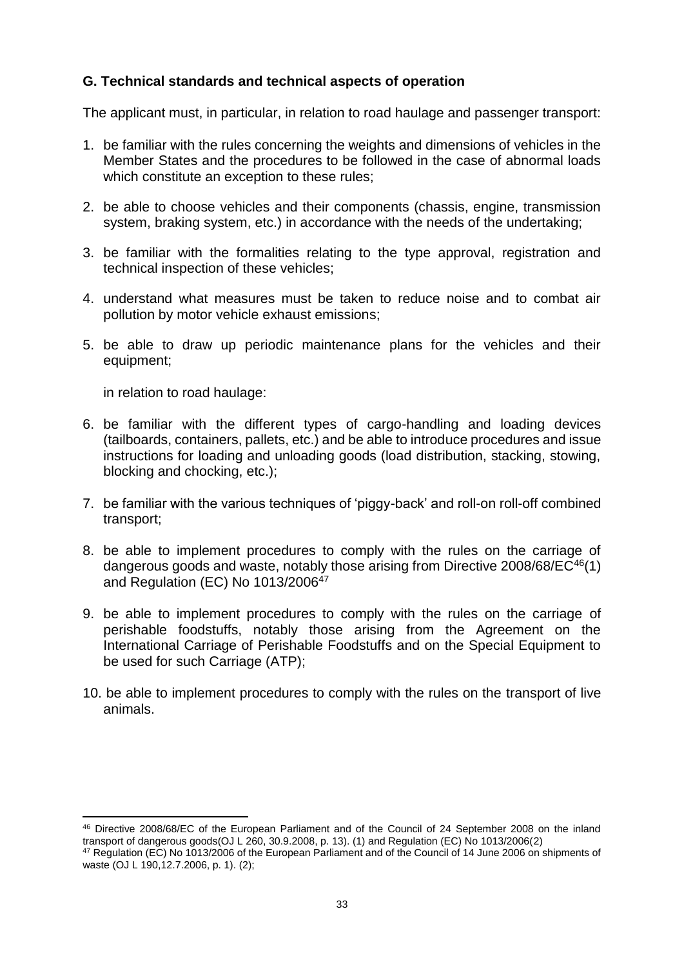## **G. Technical standards and technical aspects of operation**

The applicant must, in particular, in relation to road haulage and passenger transport:

- 1. be familiar with the rules concerning the weights and dimensions of vehicles in the Member States and the procedures to be followed in the case of abnormal loads which constitute an exception to these rules;
- 2. be able to choose vehicles and their components (chassis, engine, transmission system, braking system, etc.) in accordance with the needs of the undertaking;
- 3. be familiar with the formalities relating to the type approval, registration and technical inspection of these vehicles;
- 4. understand what measures must be taken to reduce noise and to combat air pollution by motor vehicle exhaust emissions;
- 5. be able to draw up periodic maintenance plans for the vehicles and their equipment;

in relation to road haulage:

1

- 6. be familiar with the different types of cargo-handling and loading devices (tailboards, containers, pallets, etc.) and be able to introduce procedures and issue instructions for loading and unloading goods (load distribution, stacking, stowing, blocking and chocking, etc.);
- 7. be familiar with the various techniques of 'piggy-back' and roll-on roll-off combined transport;
- 8. be able to implement procedures to comply with the rules on the carriage of dangerous goods and waste, notably those arising from Directive 2008/68/EC<sup>46</sup>(1) and Regulation (EC) No 1013/2006<sup>47</sup>
- 9. be able to implement procedures to comply with the rules on the carriage of perishable foodstuffs, notably those arising from the Agreement on the International Carriage of Perishable Foodstuffs and on the Special Equipment to be used for such Carriage (ATP);
- 10. be able to implement procedures to comply with the rules on the transport of live animals.

<sup>46</sup> Directive 2008/68/EC of the European Parliament and of the Council of 24 September 2008 on the inland transport of dangerous goods(OJ L 260, 30.9.2008, p. 13). (1) and Regulation (EC) No 1013/2006(2)

<sup>47</sup> Regulation (EC) No 1013/2006 of the European Parliament and of the Council of 14 June 2006 on shipments of waste (OJ L 190,12.7.2006, p. 1). (2);